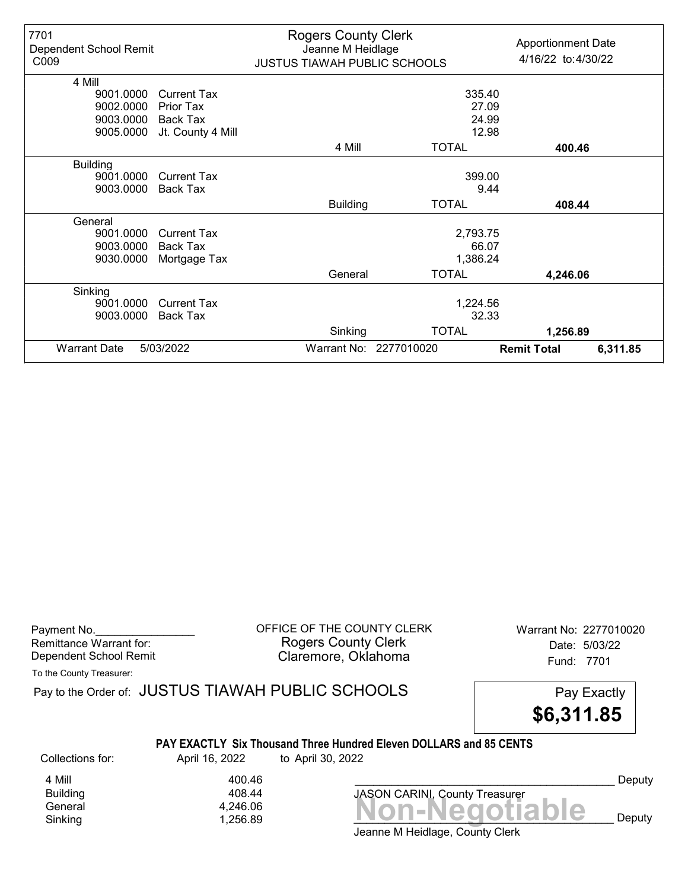| 7701<br>Dependent School Remit<br>C009 |                    | <b>Rogers County Clerk</b><br>Jeanne M Heidlage<br><b>JUSTUS TIAWAH PUBLIC SCHOOLS</b> |                        | <b>Apportionment Date</b><br>4/16/22 to:4/30/22 |          |
|----------------------------------------|--------------------|----------------------------------------------------------------------------------------|------------------------|-------------------------------------------------|----------|
| 4 Mill                                 |                    |                                                                                        |                        |                                                 |          |
| 9001.0000                              | <b>Current Tax</b> |                                                                                        | 335.40                 |                                                 |          |
| 9002.0000                              | Prior Tax          |                                                                                        | 27.09                  |                                                 |          |
| 9003.0000                              | Back Tax           |                                                                                        | 24.99                  |                                                 |          |
| 9005.0000                              | Jt. County 4 Mill  |                                                                                        | 12.98                  |                                                 |          |
|                                        |                    | 4 Mill                                                                                 | <b>TOTAL</b>           | 400.46                                          |          |
| <b>Building</b>                        |                    |                                                                                        |                        |                                                 |          |
| 9001.0000                              | <b>Current Tax</b> |                                                                                        | 399.00                 |                                                 |          |
| 9003.0000                              | Back Tax           |                                                                                        | 9.44                   |                                                 |          |
|                                        |                    | <b>Building</b>                                                                        | <b>TOTAL</b>           | 408.44                                          |          |
| General                                |                    |                                                                                        |                        |                                                 |          |
| 9001.0000                              | Current Tax        |                                                                                        | 2,793.75               |                                                 |          |
| 9003.0000                              | Back Tax           |                                                                                        | 66.07                  |                                                 |          |
| 9030.0000                              | Mortgage Tax       |                                                                                        | 1,386.24               |                                                 |          |
|                                        |                    | General                                                                                | <b>TOTAL</b>           | 4,246.06                                        |          |
| Sinking                                |                    |                                                                                        |                        |                                                 |          |
| 9001.0000                              | <b>Current Tax</b> |                                                                                        | 1,224.56               |                                                 |          |
| 9003.0000                              | <b>Back Tax</b>    |                                                                                        | 32.33                  |                                                 |          |
|                                        |                    | Sinking                                                                                | <b>TOTAL</b>           | 1,256.89                                        |          |
| <b>Warrant Date</b>                    | 5/03/2022          |                                                                                        | Warrant No: 2277010020 | <b>Remit Total</b>                              | 6,311.85 |

Remittance Warrant for:<br>Dependent School Remit

Payment No. 2277010020<br>
OFFICE OF THE COUNTY CLERK Warrant No: 2277010020 Rogers County Clerk **Date:** 5/03/22 Dependent School Remit **Example 20 Fund: 7701** Claremore, Oklahoma

To the County Treasurer:

|                  |                | Pay to the Order of: JUSTUS TIAWAH PUBLIC SCHOOLS                                              | Pay Exactly<br>\$6,311.85 |
|------------------|----------------|------------------------------------------------------------------------------------------------|---------------------------|
| Collections for: | April 16, 2022 | <b>PAY EXACTLY Six Thousand Three Hundred Eleven DOLLARS and 85 CENTS</b><br>to April 30, 2022 |                           |
| 4 Mill           | 400.46         |                                                                                                | Deputy                    |
| <b>Building</b>  | 408.44         | <b>JASON CARINI, County Treasurer</b>                                                          |                           |
| General          | 4,246.06       | <u>  Ion-Negotiable</u>                                                                        |                           |
| Sinking          | 1.256.89       |                                                                                                | Deputy                    |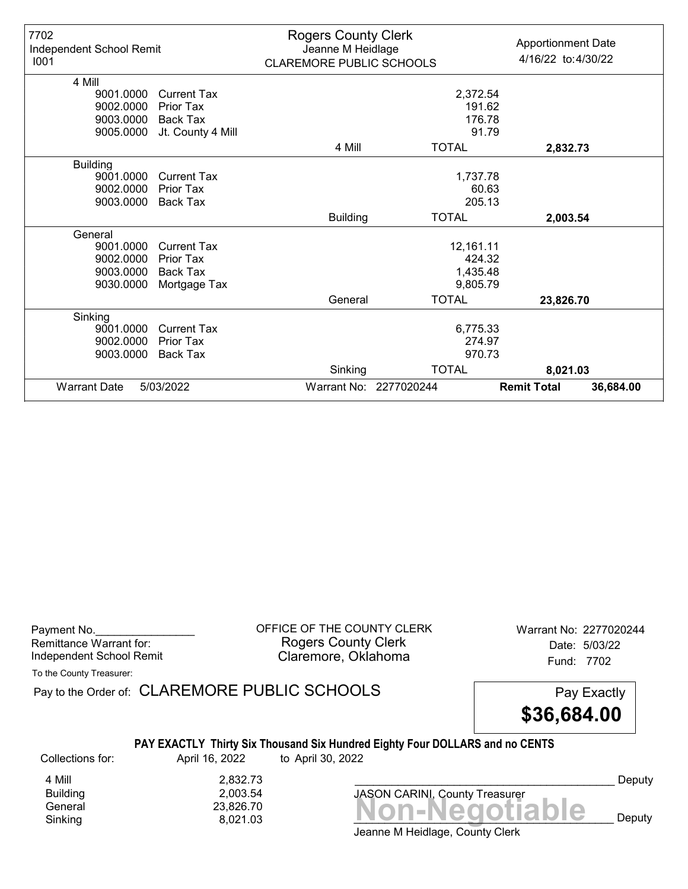| 7702<br>Independent School Remit<br>1001 |                    | <b>Rogers County Clerk</b><br>Jeanne M Heidlage<br>CLAREMORE PUBLIC SCHOOLS |                        | <b>Apportionment Date</b><br>4/16/22 to:4/30/22 |
|------------------------------------------|--------------------|-----------------------------------------------------------------------------|------------------------|-------------------------------------------------|
| 4 Mill                                   |                    |                                                                             |                        |                                                 |
| 9001.0000                                | <b>Current Tax</b> |                                                                             | 2,372.54               |                                                 |
| 9002.0000                                | <b>Prior Tax</b>   |                                                                             | 191.62                 |                                                 |
| 9003.0000                                | Back Tax           |                                                                             | 176.78                 |                                                 |
| 9005.0000                                | Jt. County 4 Mill  |                                                                             | 91.79                  |                                                 |
|                                          |                    | 4 Mill                                                                      | <b>TOTAL</b>           | 2,832.73                                        |
| <b>Building</b>                          |                    |                                                                             |                        |                                                 |
| 9001.0000                                | Current Tax        |                                                                             | 1,737.78               |                                                 |
| 9002.0000                                | <b>Prior Tax</b>   |                                                                             | 60.63                  |                                                 |
| 9003.0000                                | <b>Back Tax</b>    |                                                                             | 205.13                 |                                                 |
|                                          |                    | <b>Building</b>                                                             | <b>TOTAL</b>           | 2,003.54                                        |
| General                                  |                    |                                                                             |                        |                                                 |
| 9001.0000                                | <b>Current Tax</b> |                                                                             | 12,161.11              |                                                 |
| 9002.0000                                | Prior Tax          |                                                                             | 424.32                 |                                                 |
| 9003.0000                                | <b>Back Tax</b>    |                                                                             | 1,435.48               |                                                 |
| 9030.0000                                | Mortgage Tax       |                                                                             | 9,805.79               |                                                 |
|                                          |                    | General                                                                     | <b>TOTAL</b>           | 23,826.70                                       |
| Sinking                                  |                    |                                                                             |                        |                                                 |
| 9001.0000                                | <b>Current Tax</b> |                                                                             | 6,775.33               |                                                 |
| 9002.0000                                | Prior Tax          |                                                                             | 274.97                 |                                                 |
| 9003.0000                                | <b>Back Tax</b>    |                                                                             | 970.73                 |                                                 |
|                                          |                    | Sinking                                                                     | <b>TOTAL</b>           | 8,021.03                                        |
| <b>Warrant Date</b>                      | 5/03/2022          |                                                                             | Warrant No: 2277020244 | <b>Remit Total</b><br>36,684.00                 |

| Payment No.                     |  |
|---------------------------------|--|
| Remittance Warrant for:         |  |
| <b>Independent School Remit</b> |  |

OFFICE OF THE COUNTY CLERK Warrant No: 2277020244 Rogers County Clerk Date: 5/03/22 Claremore, Oklahoma<br>
Fund: 7702

To the County Treasurer:

Pay to the Order of: CLAREMORE PUBLIC SCHOOLS Pay Exactly

\$36,684.00

## PAY EXACTLY Thirty Six Thousand Six Hundred Eighty Four DOLLARS and no CENTS

Collections for: April 16, 2022 to April 30, 2022

4 Mill 2,832.73<br>Building 2,003.54 2,003.54<br>23,826.70

 $Sinking$ <br>Sinking  $(23,826.70)$ <br>Sinking  $(3,021.03)$ Sinking and  $\begin{array}{ccc} 8,021.03 & \bullet & \bullet \end{array}$  **NUIFNCYULIANIC** Deputy

Deputy

Jeanne M Heidlage, County Clerk

JASON CARINI, County Treasurer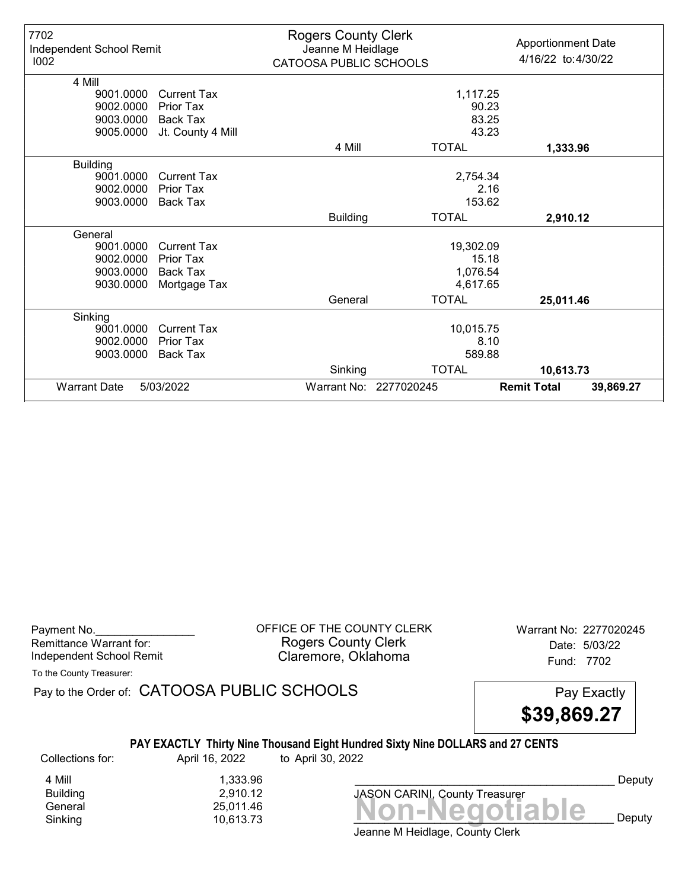| 7702<br>Independent School Remit<br>1002 |                    | <b>Rogers County Clerk</b><br>Jeanne M Heidlage<br>CATOOSA PUBLIC SCHOOLS |                        | <b>Apportionment Date</b><br>4/16/22 to:4/30/22 |
|------------------------------------------|--------------------|---------------------------------------------------------------------------|------------------------|-------------------------------------------------|
| 4 Mill                                   |                    |                                                                           |                        |                                                 |
| 9001.0000                                | <b>Current Tax</b> |                                                                           | 1,117.25               |                                                 |
| 9002.0000                                | Prior Tax          |                                                                           |                        | 90.23                                           |
| 9003.0000                                | Back Tax           |                                                                           |                        | 83.25                                           |
| 9005.0000                                | Jt. County 4 Mill  |                                                                           |                        | 43.23                                           |
|                                          |                    | 4 Mill                                                                    | <b>TOTAL</b>           | 1,333.96                                        |
| <b>Building</b>                          |                    |                                                                           |                        |                                                 |
| 9001.0000                                | <b>Current Tax</b> |                                                                           | 2,754.34               |                                                 |
| 9002.0000                                | Prior Tax          |                                                                           |                        | 2.16                                            |
| 9003.0000                                | Back Tax           |                                                                           | 153.62                 |                                                 |
|                                          |                    | <b>Building</b>                                                           | <b>TOTAL</b>           | 2,910.12                                        |
| General                                  |                    |                                                                           |                        |                                                 |
| 9001.0000                                | <b>Current Tax</b> |                                                                           | 19,302.09              |                                                 |
| 9002.0000                                | Prior Tax          |                                                                           |                        | 15.18                                           |
| 9003.0000                                | Back Tax           |                                                                           | 1,076.54               |                                                 |
| 9030.0000                                | Mortgage Tax       |                                                                           | 4,617.65               |                                                 |
|                                          |                    | General                                                                   | <b>TOTAL</b>           | 25,011.46                                       |
| Sinking                                  |                    |                                                                           |                        |                                                 |
| 9001.0000                                | <b>Current Tax</b> |                                                                           | 10,015.75              |                                                 |
| 9002.0000                                | Prior Tax          | 8.10                                                                      |                        |                                                 |
| 9003.0000                                | Back Tax           |                                                                           | 589.88                 |                                                 |
|                                          |                    | Sinking                                                                   | <b>TOTAL</b>           | 10,613.73                                       |
| <b>Warrant Date</b>                      | 5/03/2022          |                                                                           | Warrant No: 2277020245 | <b>Remit Total</b><br>39,869.27                 |

| Payment No.              |  |
|--------------------------|--|
| Remittance Warrant for:  |  |
| Independent School Remit |  |

OFFICE OF THE COUNTY CLERK Warrant No: 2277020245 Rogers County Clerk Date: 5/03/22 Claremore, Oklahoma<br>
Fund: 7702

To the County Treasurer:

Pay to the Order of: CATOOSA PUBLIC SCHOOLS Pay Exactly

\$39,869.27

## PAY EXACTLY Thirty Nine Thousand Eight Hundred Sixty Nine DOLLARS and 27 CENTS

Collections for: April 16, 2022 to April 30, 2022

Banding<br>General 25,011.46<br>Sinking 10,613.73 **Non-Negotiable** Sinking 10,613.73  $\blacksquare$  10,613.73  $\blacksquare$ 4 Mill 1,333.96<br>Building 2,910.12 Building 2,910.12

Jeanne M Heidlage, County Clerk

JASON CARINI, County Treasurer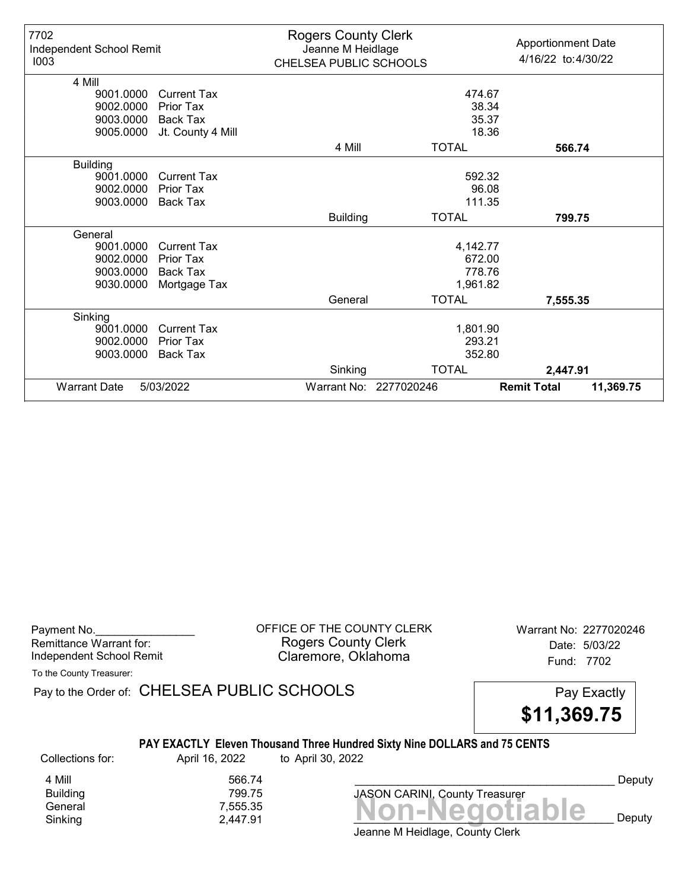| 7702<br>Independent School Remit<br>1003 |                    | <b>Rogers County Clerk</b><br>Jeanne M Heidlage<br>CHELSEA PUBLIC SCHOOLS |                        | <b>Apportionment Date</b><br>4/16/22 to:4/30/22 |
|------------------------------------------|--------------------|---------------------------------------------------------------------------|------------------------|-------------------------------------------------|
| 4 Mill                                   |                    |                                                                           |                        |                                                 |
| 9001.0000                                | <b>Current Tax</b> |                                                                           | 474.67                 |                                                 |
| 9002.0000                                | Prior Tax          |                                                                           |                        | 38.34                                           |
| 9003.0000                                | Back Tax           |                                                                           |                        | 35.37                                           |
| 9005.0000                                | Jt. County 4 Mill  |                                                                           |                        | 18.36                                           |
|                                          |                    | 4 Mill                                                                    | <b>TOTAL</b>           | 566.74                                          |
| <b>Building</b>                          |                    |                                                                           |                        |                                                 |
| 9001.0000                                | <b>Current Tax</b> |                                                                           | 592.32                 |                                                 |
| 9002.0000                                | Prior Tax          |                                                                           |                        | 96.08                                           |
| 9003.0000                                | Back Tax           |                                                                           | 111.35                 |                                                 |
|                                          |                    | <b>Building</b>                                                           | <b>TOTAL</b>           | 799.75                                          |
| General                                  |                    |                                                                           |                        |                                                 |
| 9001.0000                                | <b>Current Tax</b> |                                                                           | 4,142.77               |                                                 |
| 9002.0000                                | Prior Tax          |                                                                           | 672.00                 |                                                 |
| 9003.0000                                | Back Tax           |                                                                           | 778.76                 |                                                 |
| 9030.0000                                | Mortgage Tax       |                                                                           | 1,961.82               |                                                 |
|                                          |                    | General                                                                   | <b>TOTAL</b>           | 7,555.35                                        |
| Sinking                                  |                    |                                                                           |                        |                                                 |
| 9001.0000                                | <b>Current Tax</b> |                                                                           | 1,801.90               |                                                 |
| 9002.0000                                | Prior Tax          |                                                                           | 293.21                 |                                                 |
| 9003.0000                                | Back Tax           |                                                                           | 352.80                 |                                                 |
|                                          |                    | Sinking                                                                   | <b>TOTAL</b>           | 2,447.91                                        |
| <b>Warrant Date</b>                      | 5/03/2022          |                                                                           | Warrant No: 2277020246 | <b>Remit Total</b><br>11,369.75                 |

| Payment No.              |
|--------------------------|
| Remittance Warrant for:  |
| Independent School Remit |

OFFICE OF THE COUNTY CLERK Warrant No: 2277020246 Rogers County Clerk Date: 5/03/22 Claremore, Oklahoma<br>
Fund: 7702

To the County Treasurer:

Pay to the Order of: CHELSEA PUBLIC SCHOOLS Pay Exactly

\$11,369.75

## PAY EXACTLY Eleven Thousand Three Hundred Sixty Nine DOLLARS and 75 CENTS

Collections for: April 16, 2022 to April 30, 2022

Building<br>General

4 Mill 566.74<br>Building 799.75

Jeanne M Heidlage, County Clerk Banding<br>General 7,555.35<br>Sinking 2,447.91 **Non-Negotiable** Sinking  $2,447.91$   $2,447.91$   $\blacksquare$ 

JASON CARINI, County Treasurer

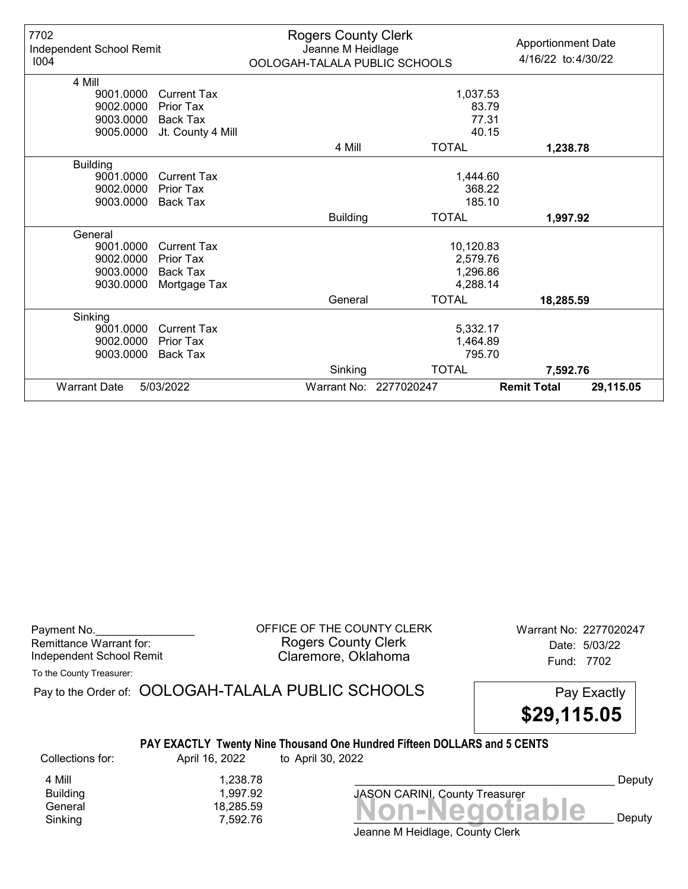| 7702<br>Independent School Remit<br>1004 |                    | <b>Rogers County Clerk</b><br>Jeanne M Heidlage<br>OOLOGAH-TALALA PUBLIC SCHOOLS |                        | <b>Apportionment Date</b><br>4/16/22 to:4/30/22 |
|------------------------------------------|--------------------|----------------------------------------------------------------------------------|------------------------|-------------------------------------------------|
| 4 Mill                                   |                    |                                                                                  |                        |                                                 |
| 9001.0000                                | <b>Current Tax</b> | 1,037.53                                                                         |                        |                                                 |
| 9002.0000                                | Prior Tax          |                                                                                  |                        | 83.79                                           |
| 9003.0000                                | <b>Back Tax</b>    |                                                                                  | 77.31                  |                                                 |
| 9005.0000                                | Jt. County 4 Mill  |                                                                                  |                        | 40.15                                           |
|                                          |                    | 4 Mill                                                                           | <b>TOTAL</b>           | 1,238.78                                        |
| <b>Building</b>                          |                    |                                                                                  |                        |                                                 |
| 9001.0000                                | <b>Current Tax</b> |                                                                                  | 1,444.60               |                                                 |
| 9002.0000                                | Prior Tax          |                                                                                  | 368.22                 |                                                 |
| 9003.0000                                | <b>Back Tax</b>    |                                                                                  | 185.10                 |                                                 |
|                                          |                    | <b>Building</b>                                                                  | <b>TOTAL</b>           | 1,997.92                                        |
| General                                  |                    |                                                                                  |                        |                                                 |
| 9001.0000                                | <b>Current Tax</b> |                                                                                  | 10,120.83              |                                                 |
| 9002.0000                                | <b>Prior Tax</b>   |                                                                                  | 2,579.76               |                                                 |
| 9003.0000                                | <b>Back Tax</b>    |                                                                                  | 1,296.86               |                                                 |
| 9030.0000                                | Mortgage Tax       |                                                                                  | 4,288.14               |                                                 |
|                                          |                    | General                                                                          | <b>TOTAL</b>           | 18,285.59                                       |
| Sinking                                  |                    |                                                                                  |                        |                                                 |
| 9001.0000                                | <b>Current Tax</b> |                                                                                  | 5,332.17               |                                                 |
| 9002.0000                                | Prior Tax          |                                                                                  | 1,464.89               |                                                 |
| 9003.0000                                | <b>Back Tax</b>    |                                                                                  | 795.70                 |                                                 |
|                                          |                    | Sinking                                                                          | <b>TOTAL</b>           | 7,592.76                                        |
| <b>Warrant Date</b>                      | 5/03/2022          |                                                                                  | Warrant No: 2277020247 | <b>Remit Total</b><br>29,115.05                 |

| Payment No.              |  |
|--------------------------|--|
| Remittance Warrant for:  |  |
| Independent School Remit |  |

OFFICE OF THE COUNTY CLERK Warrant No: 2277020247 Rogers County Clerk **Date:** 5/03/22 Independent School Remit **Example: 2008** Claremore, Oklahoma **Independent School Remit** 

To the County Treasurer:

|                                                            |                                      | Pay to the Order of: OOLOGAH-TALALA PUBLIC SCHOOLS                                            | Pay Exactly<br>\$29,115.05 |        |
|------------------------------------------------------------|--------------------------------------|-----------------------------------------------------------------------------------------------|----------------------------|--------|
| Collections for:                                           | April 16, 2022                       | PAY EXACTLY Twenty Nine Thousand One Hundred Fifteen DOLLARS and 5 CENTS<br>to April 30, 2022 |                            |        |
| 4 Mill                                                     | 1.238.78                             |                                                                                               |                            | Deputy |
| <b>Building</b><br>$\bigcap$ $\bigcup$ $\bigcup$ $\bigcup$ | 1.997.92<br>$\lambda$ 0.000 $\mu$ 0. | <b>JASON CARINI, County Treasurer</b>                                                         |                            |        |

Jeanne M Heidlage, County Clerk Banding<br>General 18,285.59 18,285.59 19,397.52 Sinking  $7,592.76$   $\blacksquare$   $\blacksquare$   $\blacksquare$   $\blacksquare$   $\blacksquare$   $\blacksquare$   $\blacksquare$   $\blacksquare$   $\blacksquare$   $\blacksquare$   $\blacksquare$   $\blacksquare$   $\blacksquare$   $\blacksquare$   $\blacksquare$   $\blacksquare$   $\blacksquare$   $\blacksquare$   $\blacksquare$   $\blacksquare$   $\blacksquare$   $\blacksquare$   $\blacksquare$   $\blacksquare$   $\blacksquare$   $\blacksquare$   $\blacksquare$   $\blacksquare$   $\blacksquare$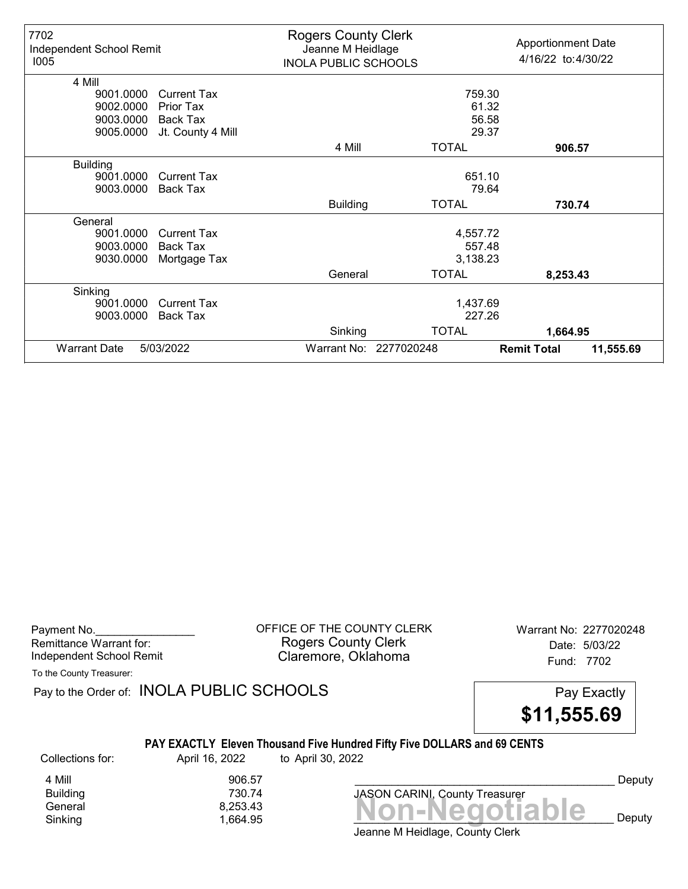| 7702<br>Independent School Remit<br>1005 |                    | <b>Rogers County Clerk</b><br>Jeanne M Heidlage<br><b>INOLA PUBLIC SCHOOLS</b> |                        | <b>Apportionment Date</b><br>4/16/22 to:4/30/22 |           |
|------------------------------------------|--------------------|--------------------------------------------------------------------------------|------------------------|-------------------------------------------------|-----------|
| 4 Mill                                   |                    |                                                                                |                        |                                                 |           |
| 9001.0000                                | <b>Current Tax</b> |                                                                                | 759.30                 |                                                 |           |
| 9002.0000                                | Prior Tax          |                                                                                | 61.32                  |                                                 |           |
| 9003.0000                                | Back Tax           |                                                                                | 56.58                  |                                                 |           |
| 9005.0000                                | Jt. County 4 Mill  |                                                                                | 29.37                  |                                                 |           |
|                                          |                    | 4 Mill                                                                         | <b>TOTAL</b>           | 906.57                                          |           |
| <b>Building</b>                          |                    |                                                                                |                        |                                                 |           |
| 9001.0000                                | <b>Current Tax</b> |                                                                                | 651.10                 |                                                 |           |
| 9003.0000                                | <b>Back Tax</b>    |                                                                                | 79.64                  |                                                 |           |
|                                          |                    | <b>Building</b>                                                                | <b>TOTAL</b>           | 730.74                                          |           |
| General                                  |                    |                                                                                |                        |                                                 |           |
| 9001.0000                                | <b>Current Tax</b> |                                                                                | 4,557.72               |                                                 |           |
| 9003.0000                                | Back Tax           |                                                                                | 557.48                 |                                                 |           |
| 9030.0000                                | Mortgage Tax       |                                                                                | 3,138.23               |                                                 |           |
|                                          |                    | General                                                                        | <b>TOTAL</b>           | 8,253.43                                        |           |
| Sinking                                  |                    |                                                                                |                        |                                                 |           |
| 9001.0000                                | <b>Current Tax</b> |                                                                                | 1,437.69               |                                                 |           |
| 9003.0000                                | <b>Back Tax</b>    |                                                                                | 227.26                 |                                                 |           |
|                                          |                    | Sinking                                                                        | <b>TOTAL</b>           | 1,664.95                                        |           |
| <b>Warrant Date</b>                      | 5/03/2022          |                                                                                | Warrant No: 2277020248 | <b>Remit Total</b>                              | 11,555.69 |

Payment No. 2277020248 CORPICE OF THE COUNTY CLERK Warrant No: 2277020248 Rogers County Clerk Date: 5/03/22 Independent School Remit **Claremore, Oklahoma** Fund: 7702

To the County Treasurer:

Pay to the Order of: INOLA PUBLIC SCHOOLS Pay Exactly



## PAY EXACTLY Eleven Thousand Five Hundred Fifty Five DOLLARS and 69 CENTS

Collections for: April 16, 2022 to April 30, 2022

**Building** 

4 Mill 906.57<br>Building 730.74

Banding<br>General 8,253.43<br>Sinking 1,664.95 **Non-Negotiable** Sinking and  $1,664.95$  and  $1,664.95$  and  $1$  **NUIFINGULIANIC** Deputy

Deputy

Jeanne M Heidlage, County Clerk

JASON CARINI, County Treasurer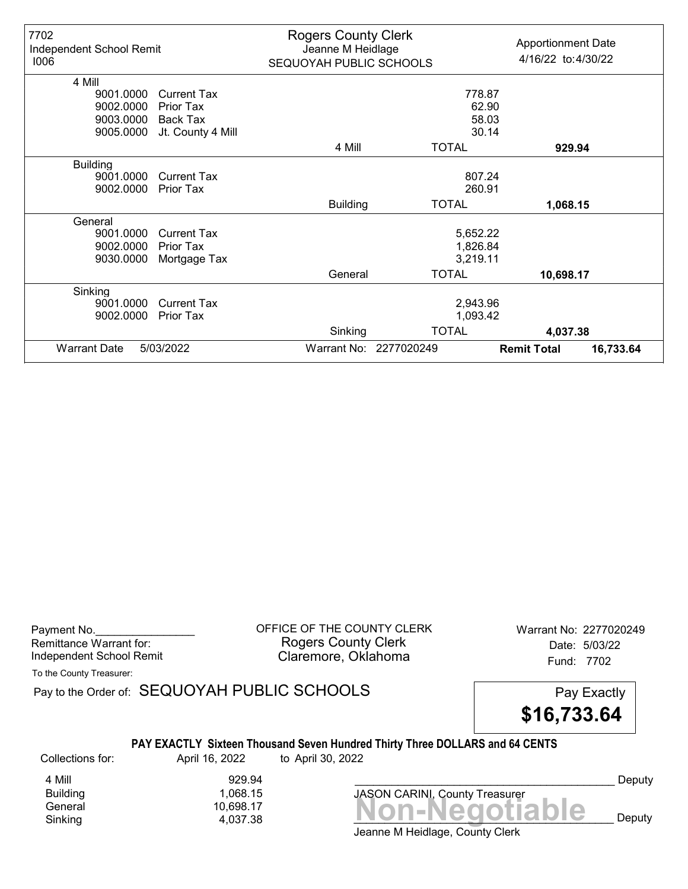| <b>Warrant Date</b>      | 5/03/2022          |                            | Warrant No: 2277020249 | <b>Remit Total</b><br>16,733.64 |
|--------------------------|--------------------|----------------------------|------------------------|---------------------------------|
|                          |                    | Sinking                    | <b>TOTAL</b>           | 4,037.38                        |
| 9002.0000                | <b>Prior Tax</b>   |                            | 1,093.42               |                                 |
| 9001.0000                | <b>Current Tax</b> |                            | 2,943.96               |                                 |
| Sinking                  |                    |                            |                        |                                 |
|                          |                    | General                    | <b>TOTAL</b>           | 10,698.17                       |
| 9030.0000                | Mortgage Tax       |                            | 3,219.11               |                                 |
| 9002.0000                | Prior Tax          |                            | 1,826.84               |                                 |
| 9001.0000                | <b>Current Tax</b> |                            | 5,652.22               |                                 |
| General                  |                    |                            |                        |                                 |
|                          |                    | <b>Building</b>            | <b>TOTAL</b>           | 1,068.15                        |
| 9002.0000                | <b>Prior Tax</b>   |                            | 260.91                 |                                 |
| 9001.0000                | <b>Current Tax</b> |                            | 807.24                 |                                 |
| <b>Building</b>          |                    |                            |                        |                                 |
|                          |                    | 4 Mill                     | <b>TOTAL</b>           | 929.94                          |
| 9005.0000                | Jt. County 4 Mill  |                            | 30.14                  |                                 |
| 9003.0000                | Back Tax           |                            | 58.03                  |                                 |
| 9002.0000                | <b>Prior Tax</b>   |                            | 62.90                  |                                 |
| 4 Mill<br>9001.0000      | <b>Current Tax</b> |                            | 778.87                 |                                 |
|                          |                    |                            |                        |                                 |
| 1006                     |                    | SEQUOYAH PUBLIC SCHOOLS    |                        | 4/16/22 to: 4/30/22             |
| Independent School Remit |                    | Jeanne M Heidlage          |                        | <b>Apportionment Date</b>       |
| 7702                     |                    | <b>Rogers County Clerk</b> |                        |                                 |

Payment No. 2277020249 COFFICE OF THE COUNTY CLERK Warrant No: 2277020249 Rogers County Clerk Date: 5/03/22 Independent School Remit **Claremore, Oklahoma** Fund: 7702

To the County Treasurer:

Pay to the Order of: SEQUOYAH PUBLIC SCHOOLS Pay Exactly



### PAY EXACTLY Sixteen Thousand Seven Hundred Thirty Three DOLLARS and 64 CENTS

Collections for: April 16, 2022 to April 30, 2022

4 Mill 929.94<br>Building 1,068.15 1,068.15

 $General  
Shiking 4,037.38 4,037.38$ Sinking 4,037.38 \_\_\_\_\_\_\_\_\_\_\_\_\_\_\_\_\_\_\_\_\_\_\_\_\_\_\_\_\_\_\_\_\_\_\_\_\_\_\_\_\_\_ Deputy JASON CARINI, County Treasurer

Deputy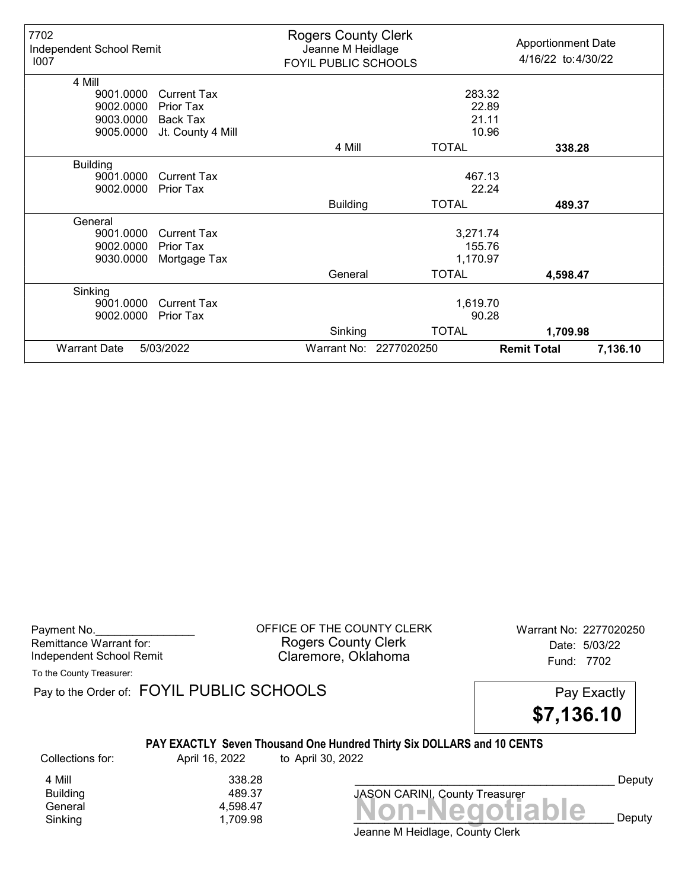| 7702<br>Independent School Remit<br>1007 | <b>Rogers County Clerk</b><br><b>Apportionment Date</b><br>Jeanne M Heidlage<br>4/16/22 to: 4/30/22<br>FOYIL PUBLIC SCHOOLS |                 |                        |                    |          |
|------------------------------------------|-----------------------------------------------------------------------------------------------------------------------------|-----------------|------------------------|--------------------|----------|
| 4 Mill                                   |                                                                                                                             |                 |                        |                    |          |
| 9001.0000                                | <b>Current Tax</b>                                                                                                          |                 | 283.32                 |                    |          |
| 9002.0000                                | Prior Tax                                                                                                                   |                 | 22.89                  |                    |          |
| 9003.0000                                | Back Tax                                                                                                                    |                 | 21.11                  |                    |          |
| 9005.0000                                | Jt. County 4 Mill                                                                                                           |                 | 10.96                  |                    |          |
|                                          |                                                                                                                             | 4 Mill          | <b>TOTAL</b>           | 338.28             |          |
| <b>Building</b>                          |                                                                                                                             |                 |                        |                    |          |
| 9001.0000                                | <b>Current Tax</b>                                                                                                          |                 | 467.13                 |                    |          |
| 9002.0000                                | Prior Tax                                                                                                                   |                 | 22.24                  |                    |          |
|                                          |                                                                                                                             | <b>Building</b> | <b>TOTAL</b>           | 489.37             |          |
| General                                  |                                                                                                                             |                 |                        |                    |          |
| 9001.0000                                | <b>Current Tax</b>                                                                                                          |                 | 3,271.74               |                    |          |
| 9002.0000                                | Prior Tax                                                                                                                   |                 | 155.76                 |                    |          |
| 9030.0000                                | Mortgage Tax                                                                                                                |                 | 1,170.97               |                    |          |
|                                          |                                                                                                                             | General         | <b>TOTAL</b>           | 4,598.47           |          |
| Sinking                                  |                                                                                                                             |                 |                        |                    |          |
| 9001.0000                                | <b>Current Tax</b>                                                                                                          |                 | 1,619.70               |                    |          |
| 9002.0000                                | Prior Tax                                                                                                                   |                 | 90.28                  |                    |          |
|                                          |                                                                                                                             | Sinking         | <b>TOTAL</b>           | 1,709.98           |          |
| <b>Warrant Date</b>                      | 5/03/2022                                                                                                                   |                 | Warrant No: 2277020250 | <b>Remit Total</b> | 7,136.10 |

Payment No. 2277020250 COFFICE OF THE COUNTY CLERK Warrant No: 2277020250 Rogers County Clerk Date: 5/03/22 Independent School Remit Claremore, Oklahoma Fund: 7702

To the County Treasurer:

Pay to the Order of: FOYIL PUBLIC SCHOOLS Pay Exactly



## PAY EXACTLY Seven Thousand One Hundred Thirty Six DOLLARS and 10 CENTS

Collections for: April 16, 2022 to April 30, 2022

**Building** 

4 Mill 338.28<br>Building 489.37

Jeanne M Heidlage, County Clerk General 4,598.47<br>
Sinking 1,709.98 **Non-Negotiable** Sinking and  $\frac{1}{1,709.98}$  and  $\frac{1}{1,709.98}$  and  $\frac{1}{1,709.98}$  and  $\frac{1}{1,709.98}$  and  $\frac{1}{1,709.98}$  and  $\frac{1}{1,709.98}$  and  $\frac{1}{1,709.98}$  and  $\frac{1}{1,709.98}$  and  $\frac{1}{1,709.98}$  and  $\frac{1}{1,709.98}$  and

JASON CARINI, County Treasurer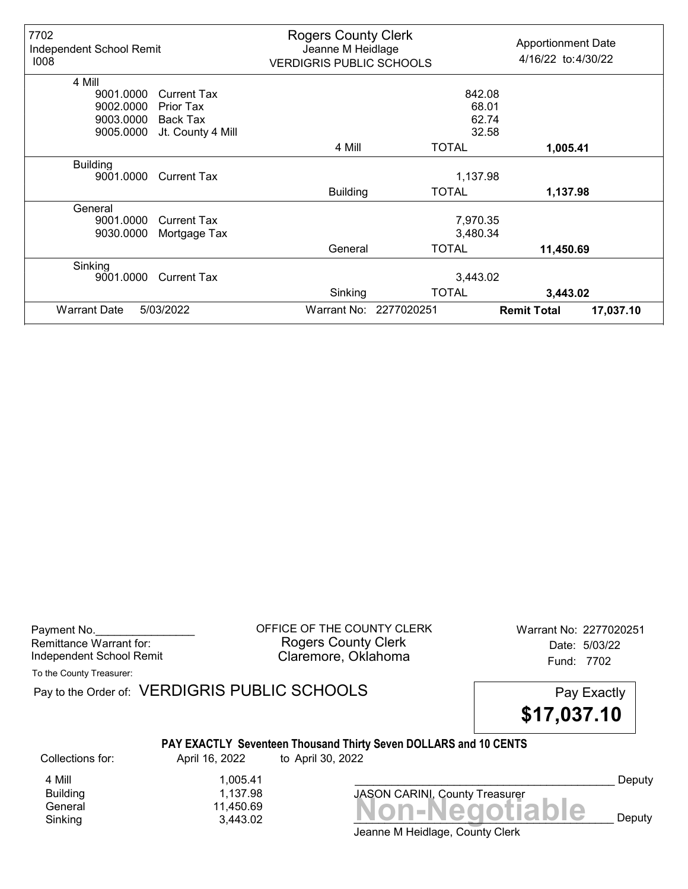| 7702<br>Independent School Remit<br>1008 |                    | <b>Rogers County Clerk</b><br>Jeanne M Heidlage<br><b>VERDIGRIS PUBLIC SCHOOLS</b> |                        | <b>Apportionment Date</b><br>4/16/22 to:4/30/22 |           |
|------------------------------------------|--------------------|------------------------------------------------------------------------------------|------------------------|-------------------------------------------------|-----------|
| 4 Mill                                   |                    |                                                                                    |                        |                                                 |           |
| 9001.0000                                | <b>Current Tax</b> |                                                                                    | 842.08                 |                                                 |           |
| 9002.0000                                | Prior Tax          |                                                                                    |                        | 68.01                                           |           |
| 9003.0000                                | Back Tax           |                                                                                    |                        | 62.74                                           |           |
| 9005.0000                                | Jt. County 4 Mill  |                                                                                    |                        | 32.58                                           |           |
|                                          |                    | 4 Mill                                                                             | <b>TOTAL</b>           | 1,005.41                                        |           |
| <b>Building</b>                          |                    |                                                                                    |                        |                                                 |           |
| 9001.0000                                | <b>Current Tax</b> |                                                                                    | 1,137.98               |                                                 |           |
|                                          |                    | <b>Building</b>                                                                    | <b>TOTAL</b>           | 1,137.98                                        |           |
| General                                  |                    |                                                                                    |                        |                                                 |           |
| 9001.0000                                | <b>Current Tax</b> |                                                                                    | 7,970.35               |                                                 |           |
| 9030.0000                                | Mortgage Tax       |                                                                                    | 3,480.34               |                                                 |           |
|                                          |                    | General                                                                            | <b>TOTAL</b>           | 11,450.69                                       |           |
| Sinking                                  |                    |                                                                                    |                        |                                                 |           |
| 9001.0000                                | <b>Current Tax</b> | 3,443.02                                                                           |                        |                                                 |           |
|                                          |                    | Sinking                                                                            | <b>TOTAL</b>           | 3,443.02                                        |           |
| <b>Warrant Date</b>                      | 5/03/2022          |                                                                                    | Warrant No: 2277020251 | <b>Remit Total</b>                              | 17,037.10 |

Payment No. 2277020251 COUNTY CLERK Warrant No: 2277020251 Rogers County Clerk Date: 5/03/22 Independent School Remit **Claremore, Oklahoma** Fund: 7702

To the County Treasurer:

Pay to the Order of: VERDIGRIS PUBLIC SCHOOLS Pay Exactly



## PAY EXACTLY Seventeen Thousand Thirty Seven DOLLARS and 10 CENTS

Collections for: April 16, 2022 to April 30, 2022

Sinking 3,443.02 \_\_\_\_\_\_\_\_\_\_\_\_\_\_\_\_\_\_\_\_\_\_\_\_\_\_\_\_\_\_\_\_\_\_\_\_\_\_\_\_\_\_ Deputy

General 11,450.69<br>
Sinking 3,443.02 **Non-Negotiable** 4 Mill 1,005.41<br>Building 1,137.98 Building 1,137.98

Jeanne M Heidlage, County Clerk

JASON CARINI, County Treasurer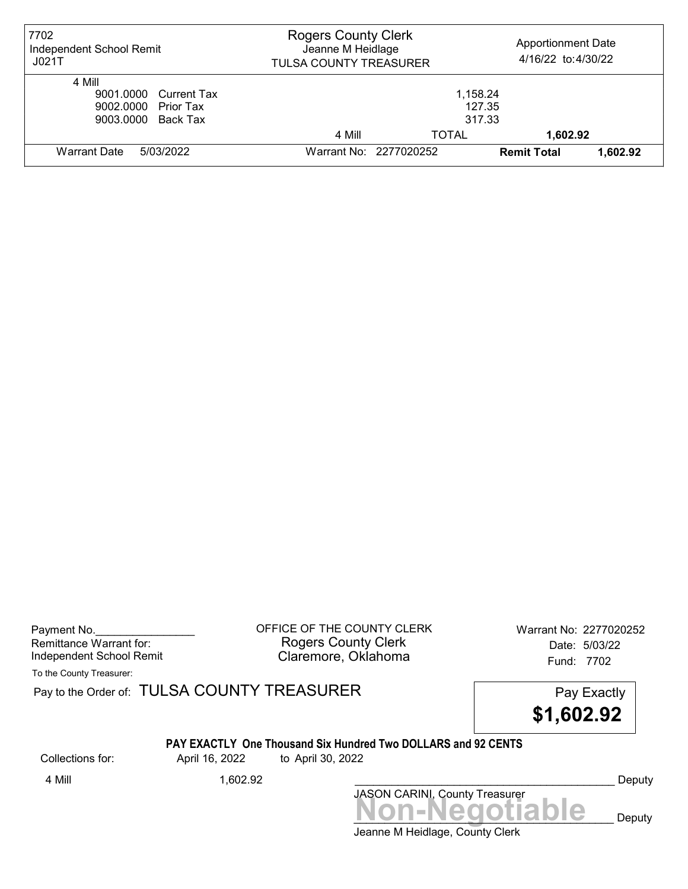| 7702<br>Independent School Remit<br>JO21T                                    | <b>Rogers County Clerk</b><br>Jeanne M Heidlage<br><b>TULSA COUNTY TREASURER</b> |       | <b>Apportionment Date</b><br>4/16/22 to:4/30/22 |          |
|------------------------------------------------------------------------------|----------------------------------------------------------------------------------|-------|-------------------------------------------------|----------|
| 4 Mill<br>9001.0000 Current Tax<br>9002.0000 Prior Tax<br>9003.0000 Back Tax | 1,158.24<br>127.35<br>317.33                                                     |       |                                                 |          |
|                                                                              | 4 Mill                                                                           | TOTAL | 1,602.92                                        |          |
| Warrant Date<br>5/03/2022                                                    | Warrant No: 2277020252                                                           |       | <b>Remit Total</b>                              | 1,602.92 |

Payment No. 2277020252 COFFICE OF THE COUNTY CLERK Warrant No: 2277020252 Rogers County Clerk Date: 5/03/22 Independent School Remit Claremore, Oklahoma Fund: 7702

To the County Treasurer:

Pay to the Order of: TULSA COUNTY TREASURER Pay to the Order of: TULSA COUNTY TREASURER

\$1,602.92

#### PAY EXACTLY One Thousand Six Hundred Two DOLLARS and 92 CENTS

Collections for: April 16, 2022 to April 30, 2022

Jeanne M Heidlage, County Clerk Non-Negotiable Deputy JASON CARINI, County Treasurer 4 Mill 1,602.92 \_\_\_\_\_\_\_\_\_\_\_\_\_\_\_\_\_\_\_\_\_\_\_\_\_\_\_\_\_\_\_\_\_\_\_\_\_\_\_\_\_\_ Deputy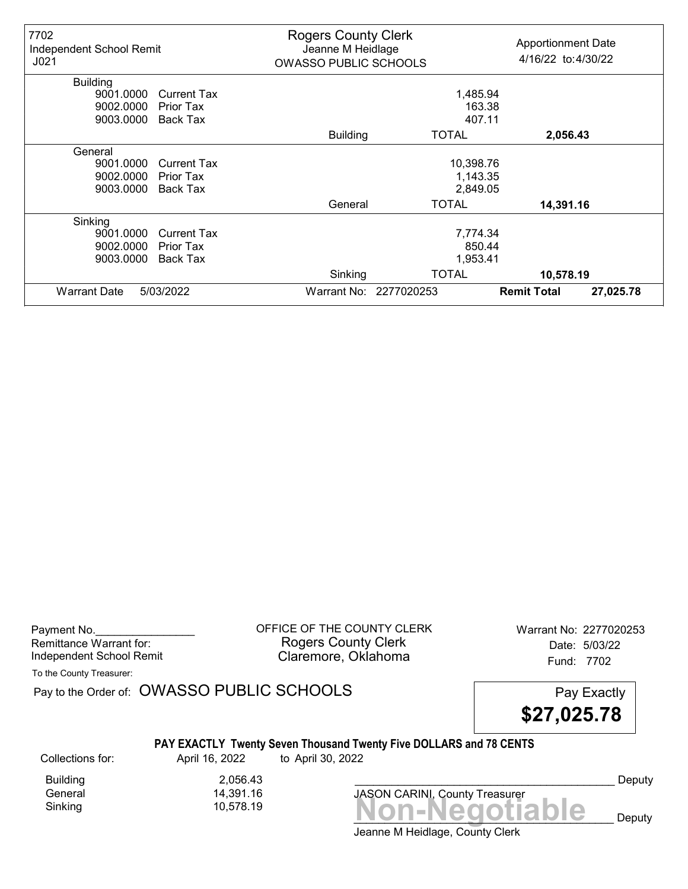| 7702<br>Independent School Remit<br>J <sub>021</sub> |                    | <b>Rogers County Clerk</b><br>Jeanne M Heidlage<br><b>OWASSO PUBLIC SCHOOLS</b> |                        | <b>Apportionment Date</b><br>4/16/22 to:4/30/22 |           |
|------------------------------------------------------|--------------------|---------------------------------------------------------------------------------|------------------------|-------------------------------------------------|-----------|
| <b>Building</b>                                      |                    |                                                                                 |                        |                                                 |           |
| 9001.0000                                            | <b>Current Tax</b> | 1,485.94                                                                        |                        |                                                 |           |
| 9002.0000                                            | <b>Prior Tax</b>   |                                                                                 | 163.38                 |                                                 |           |
| 9003.0000                                            | Back Tax           | 407.11                                                                          |                        |                                                 |           |
|                                                      |                    | <b>Building</b>                                                                 | <b>TOTAL</b>           | 2,056.43                                        |           |
| General                                              |                    |                                                                                 |                        |                                                 |           |
| 9001.0000                                            | <b>Current Tax</b> |                                                                                 | 10,398.76              |                                                 |           |
| 9002.0000                                            | Prior Tax          |                                                                                 | 1,143.35               |                                                 |           |
| 9003.0000                                            | Back Tax           |                                                                                 | 2,849.05               |                                                 |           |
|                                                      |                    | General                                                                         | <b>TOTAL</b>           | 14,391.16                                       |           |
| Sinking                                              |                    |                                                                                 |                        |                                                 |           |
| 9001.0000                                            | <b>Current Tax</b> |                                                                                 | 7,774.34               |                                                 |           |
| 9002.0000                                            | Prior Tax          |                                                                                 | 850.44                 |                                                 |           |
| 9003.0000                                            | Back Tax           |                                                                                 | 1,953.41               |                                                 |           |
|                                                      |                    | Sinking                                                                         | <b>TOTAL</b>           | 10,578.19                                       |           |
| <b>Warrant Date</b>                                  | 5/03/2022          |                                                                                 | Warrant No: 2277020253 | <b>Remit Total</b>                              | 27,025.78 |

Payment No. 2277020253 COFFICE OF THE COUNTY CLERK Warrant No: 2277020253 Rogers County Clerk Date: 5/03/22 Independent School Remit **Claremore, Oklahoma** Fund: 7702

To the County Treasurer:

Pay to the Order of: OWASSO PUBLIC SCHOOLS Pay Exactly

\$27,025.78

### PAY EXACTLY Twenty Seven Thousand Twenty Five DOLLARS and 78 CENTS

Collections for: April 16, 2022 to April 30, 2022

Building 2,056.43<br>General 14,391.16 General 14,391.16

Sinking Non-Negotiable 10,578.19 JASON CARINI, County Treasurer

Deputy

Deputy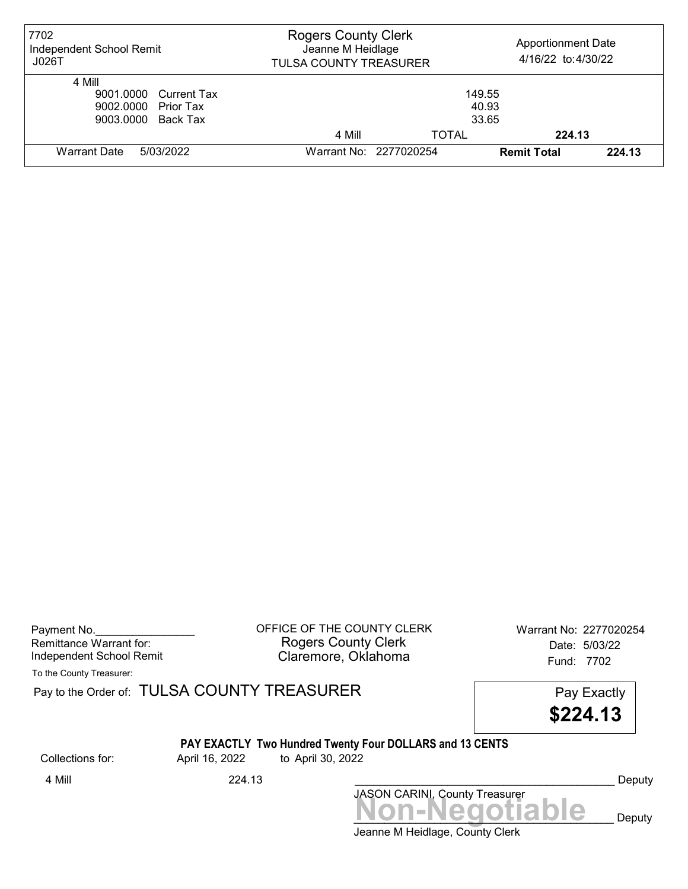| 7702<br>Independent School Remit<br>JO26T                                    | <b>Rogers County Clerk</b><br>Jeanne M Heidlage<br><b>TULSA COUNTY TREASURER</b> |                          | <b>Apportionment Date</b><br>4/16/22 to:4/30/22 |        |
|------------------------------------------------------------------------------|----------------------------------------------------------------------------------|--------------------------|-------------------------------------------------|--------|
| 4 Mill<br>9001.0000 Current Tax<br>9002.0000 Prior Tax<br>9003.0000 Back Tax |                                                                                  | 149.55<br>40.93<br>33.65 |                                                 |        |
|                                                                              | 4 Mill                                                                           | <b>TOTAL</b>             | 224.13                                          |        |
| Warrant Date<br>5/03/2022                                                    | Warrant No: 2277020254                                                           |                          | <b>Remit Total</b>                              | 224.13 |

Payment No. 2277020254 Rogers County Clerk Date: 5/03/22 Independent School Remit Claremore, Oklahoma Fund: 7702

To the County Treasurer:

Pay to the Order of: TULSA COUNTY TREASURER Pay to the Order of: TULSA COUNTY TREASURER

\$224.13

# PAY EXACTLY Two Hundred Twenty Four DOLLARS and 13 CENTS

Collections for: April 16, 2022 to April 30, 2022

Jeanne M Heidlage, County Clerk Non-Negotiable Deputy JASON CARINI, County Treasurer 4 Mill 224.13 Deputy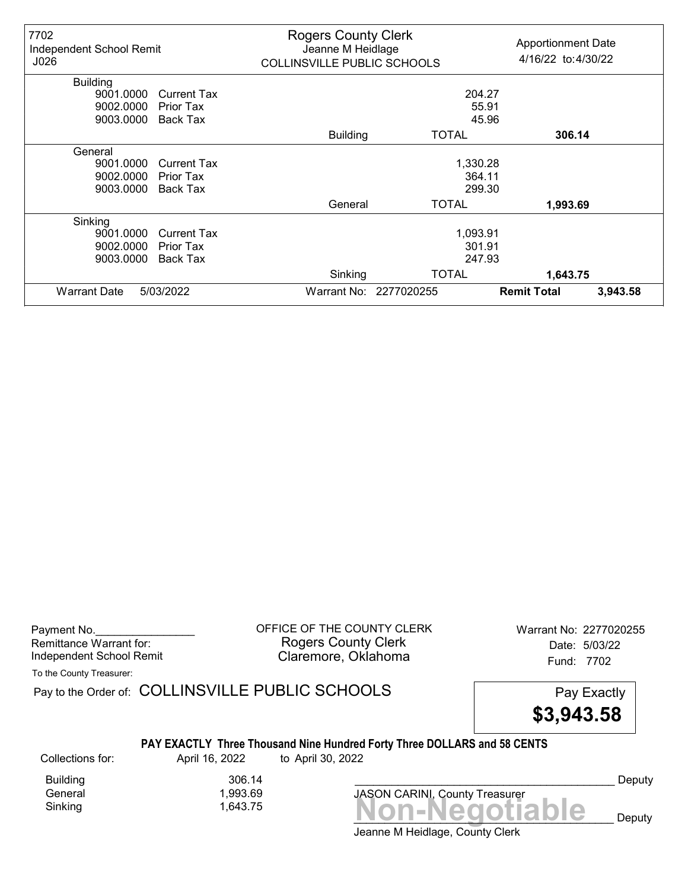| 7702<br>Independent School Remit<br>J026 |                    | <b>Rogers County Clerk</b><br>Jeanne M Heidlage<br>COLLINSVILLE PUBLIC SCHOOLS |                        | <b>Apportionment Date</b><br>4/16/22 to:4/30/22 |          |
|------------------------------------------|--------------------|--------------------------------------------------------------------------------|------------------------|-------------------------------------------------|----------|
| <b>Building</b>                          |                    |                                                                                |                        |                                                 |          |
| 9001.0000                                | <b>Current Tax</b> |                                                                                | 204.27                 |                                                 |          |
| 9002.0000                                | <b>Prior Tax</b>   |                                                                                | 55.91                  |                                                 |          |
| 9003.0000                                | Back Tax           | 45.96                                                                          |                        |                                                 |          |
|                                          |                    | <b>Building</b>                                                                | <b>TOTAL</b>           | 306.14                                          |          |
| General                                  |                    |                                                                                |                        |                                                 |          |
| 9001.0000                                | <b>Current Tax</b> |                                                                                | 1,330.28               |                                                 |          |
| 9002.0000                                | Prior Tax          |                                                                                | 364.11                 |                                                 |          |
| 9003.0000                                | <b>Back Tax</b>    |                                                                                | 299.30                 |                                                 |          |
|                                          |                    | General                                                                        | <b>TOTAL</b>           | 1,993.69                                        |          |
| Sinking                                  |                    |                                                                                |                        |                                                 |          |
| 9001.0000                                | <b>Current Tax</b> |                                                                                | 1,093.91               |                                                 |          |
| 9002.0000                                | Prior Tax          |                                                                                | 301.91                 |                                                 |          |
| 9003.0000                                | Back Tax           |                                                                                | 247.93                 |                                                 |          |
|                                          |                    | Sinking                                                                        | <b>TOTAL</b>           | 1,643.75                                        |          |
| <b>Warrant Date</b>                      | 5/03/2022          |                                                                                | Warrant No: 2277020255 | <b>Remit Total</b>                              | 3,943.58 |

Payment No. 2277020255 CORPICE OF THE COUNTY CLERK Warrant No: 2277020255 Rogers County Clerk Date: 5/03/22 Independent School Remit Claremore, Oklahoma Fund: 7702

To the County Treasurer:

Pay to the Order of: COLLINSVILLE PUBLIC SCHOOLS Pay Exactly

\$3,943.58

#### PAY EXACTLY Three Thousand Nine Hundred Forty Three DOLLARS and 58 CENTS

Collections for: April 16, 2022 to April 30, 2022

Sinking 1,643.75 Non-Negotiable

Building 306.14 1,993.69

Deputy

 $\mathbf{e}$  Deputy

Jeanne M Heidlage, County Clerk

JASON CARINI, County Treasurer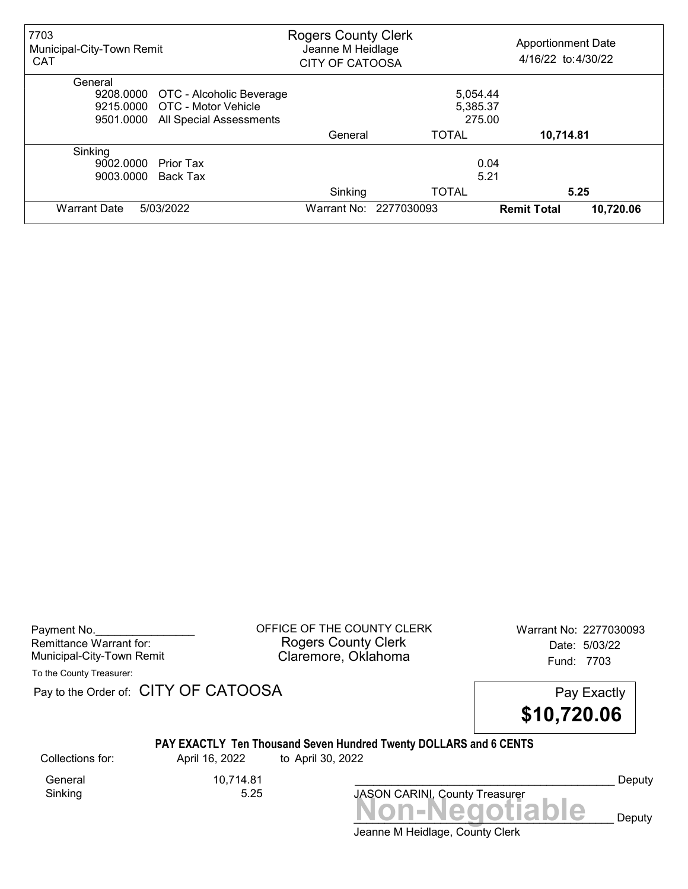| 7703<br>Municipal-City-Town Remit<br><b>CAT</b>                                                                        | <b>Rogers County Clerk</b><br>Jeanne M Heidlage<br><b>CITY OF CATOOSA</b> |                                | <b>Apportionment Date</b><br>4/16/22 to:4/30/22 |                   |
|------------------------------------------------------------------------------------------------------------------------|---------------------------------------------------------------------------|--------------------------------|-------------------------------------------------|-------------------|
| General<br>9208.0000 OTC - Alcoholic Beverage<br>9215,0000 OTC - Motor Vehicle<br>All Special Assessments<br>9501.0000 |                                                                           | 5,054.44<br>5,385.37<br>275.00 |                                                 |                   |
|                                                                                                                        | General                                                                   | <b>TOTAL</b>                   | 10,714.81                                       |                   |
| Sinking<br>9002.0000<br>Prior Tax<br>9003.0000<br>Back Tax                                                             |                                                                           | 5.21                           | 0.04                                            |                   |
| 5/03/2022<br><b>Warrant Date</b>                                                                                       | Sinking<br>Warrant No: 2277030093                                         | <b>TOTAL</b>                   | <b>Remit Total</b>                              | 5.25<br>10,720.06 |

| Payment No.               |  |
|---------------------------|--|
| Remittance Warrant for:   |  |
| Municipal-City-Town Remit |  |

OFFICE OF THE COUNTY CLERK Warrant No: 2277030093 Rogers County Clerk Date: 5/03/22 Claremore, Oklahoma<br>Fund: 7703

To the County Treasurer:

Pay to the Order of: CITY OF CATOOSA Pay to the Order of: CITY OF CATOOSA



### PAY EXACTLY Ten Thousand Seven Hundred Twenty DOLLARS and 6 CENTS

Collections for: April 16, 2022 to April 30, 2022

General 10,714.81<br>Sinking 5.25 Sinking

JASON CARINI, County Treasurer<br>
MON-Negotiable Deputy

Deputy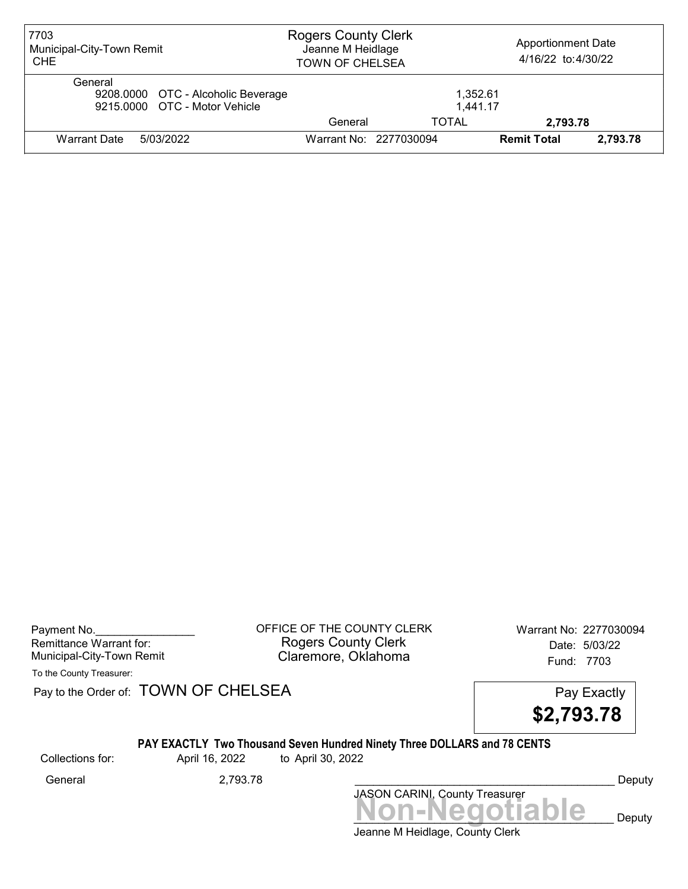| 7703<br>Municipal-City-Town Remit<br><b>CHE</b>                                | <b>Rogers County Clerk</b><br>Jeanne M Heidlage<br><b>TOWN OF CHELSEA</b> |                        | <b>Apportionment Date</b><br>4/16/22 to:4/30/22 |          |
|--------------------------------------------------------------------------------|---------------------------------------------------------------------------|------------------------|-------------------------------------------------|----------|
| General<br>9208.0000 OTC - Alcoholic Beverage<br>9215.0000 OTC - Motor Vehicle |                                                                           | 1.352.61<br>1,441.17   |                                                 |          |
|                                                                                | General                                                                   | TOTAL                  | 2.793.78                                        |          |
| 5/03/2022<br>Warrant Date                                                      |                                                                           | Warrant No: 2277030094 | <b>Remit Total</b>                              | 2.793.78 |

Payment No. 2277030094 CONDUCT OF THE COUNTY CLERK Warrant No: 2277030094 Rogers County Clerk Date: 5/03/22 Municipal-City-Town Remit Claremore, Oklahoma Fund: 7703

To the County Treasurer:

Pay to the Order of: TOWN OF CHELSEA Pay to the Order of: TOWN OF CHELSEA

\$2,793.78

### PAY EXACTLY Two Thousand Seven Hundred Ninety Three DOLLARS and 78 CENTS

Collections for: April 16, 2022 to April 30, 2022

Non-Negotiable Deputy JASON CARINI, County Treasurer General 2,793.78 \_\_\_\_\_\_\_\_\_\_\_\_\_\_\_\_\_\_\_\_\_\_\_\_\_\_\_\_\_\_\_\_\_\_\_\_\_\_\_\_\_\_ Deputy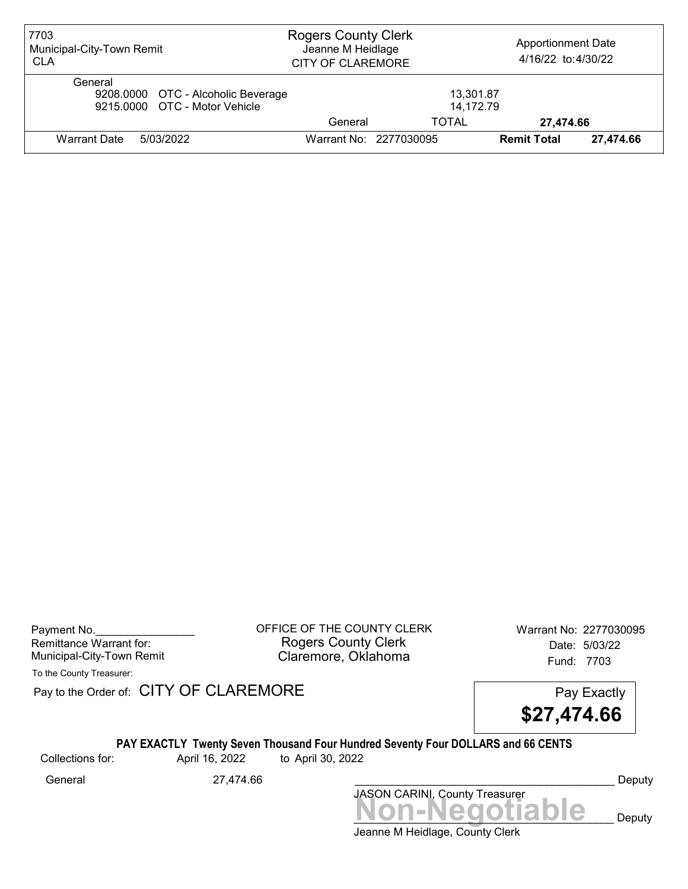| 7703<br>Municipal-City-Town Remit<br><b>CLA</b>                                | <b>Rogers County Clerk</b><br>Jeanne M Heidlage<br><b>CITY OF CLAREMORE</b> |                        | <b>Apportionment Date</b><br>4/16/22 to:4/30/22 |           |
|--------------------------------------------------------------------------------|-----------------------------------------------------------------------------|------------------------|-------------------------------------------------|-----------|
| General<br>9208.0000 OTC - Alcoholic Beverage<br>9215,0000 OTC - Motor Vehicle |                                                                             | 13,301.87<br>14,172.79 |                                                 |           |
|                                                                                | General                                                                     | TOTAL                  | 27,474.66                                       |           |
| 5/03/2022<br><b>Warrant Date</b>                                               |                                                                             | Warrant No: 2277030095 | <b>Remit Total</b>                              | 27,474.66 |

Payment No. 2277030095 CONSIDERT OF THE COUNTY CLERK Warrant No: 2277030095 Rogers County Clerk Date: 5/03/22 Municipal-City-Town Remit **Example 2018** Claremore, Oklahoma **Example 2018** Fund: 7703

To the County Treasurer:

Pay to the Order of: CITY OF CLAREMORE Pay to the Order of: CITY OF CLAREMORE

\$27,474.66

## PAY EXACTLY Twenty Seven Thousand Four Hundred Seventy Four DOLLARS and 66 CENTS

Collections for: April 16, 2022 to April 30, 2022

Jeanne M Heidlage, County Clerk Non-Negotiable Deputy JASON CARINI, County Treasurer General 27,474.66 \_\_\_\_\_\_\_\_\_\_\_\_\_\_\_\_\_\_\_\_\_\_\_\_\_\_\_\_\_\_\_\_\_\_\_\_\_\_\_\_\_\_ Deputy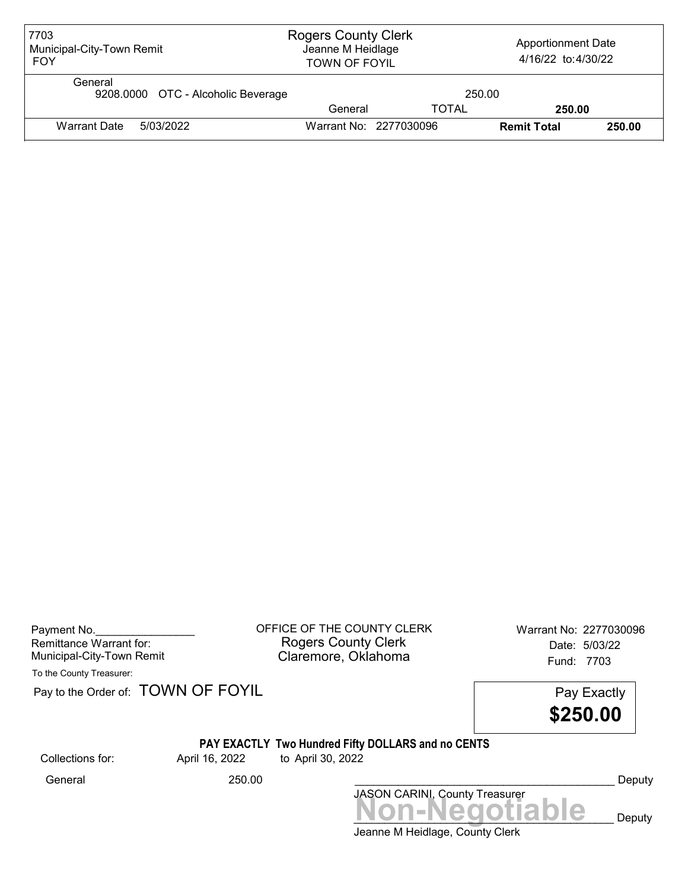| 7703<br>Municipal-City-Town Remit<br><b>FOY</b> | <b>Rogers County Clerk</b><br><b>Apportionment Date</b><br>Jeanne M Heidlage<br>4/16/22 to:4/30/22<br><b>TOWN OF FOYIL</b> |              |                    |        |
|-------------------------------------------------|----------------------------------------------------------------------------------------------------------------------------|--------------|--------------------|--------|
| General<br>9208.0000 OTC - Alcoholic Beverage   |                                                                                                                            | 250.00       |                    |        |
|                                                 | General                                                                                                                    | <b>TOTAL</b> | 250.00             |        |
| Warrant Date<br>5/03/2022                       | Warrant No: 2277030096                                                                                                     |              | <b>Remit Total</b> | 250.00 |

| Payment No.               |  |
|---------------------------|--|
| Remittance Warrant for:   |  |
| Municipal-City-Town Remit |  |

OFFICE OF THE COUNTY CLERK Warrant No: 2277030096 Rogers County Clerk Date: 5/03/22 Claremore, Oklahoma<br>Fund: 7703

To the County Treasurer:

Pay to the Order of: TOWN OF FOYIL Pay Exactly

\$250.00

# PAY EXACTLY Two Hundred Fifty DOLLARS and no CENTS

Collections for: April 16, 2022 to April 30, 2022

Jeanne M Heidlage, County Clerk JASON CARINI, County Treasurer<br>
MON-Negotiable Deputy General 250.00 250.00 Ceneral Deputy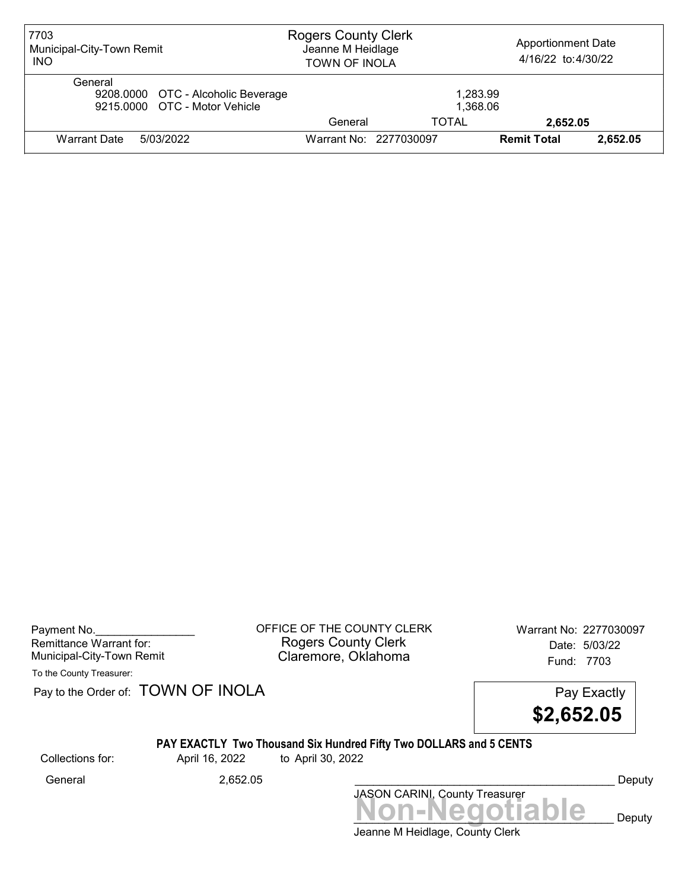| 7703<br>Municipal-City-Town Remit<br><b>INO</b>                                | <b>Rogers County Clerk</b><br>Jeanne M Heidlage<br><b>TOWN OF INOLA</b> |       | <b>Apportionment Date</b><br>4/16/22 to:4/30/22 |          |
|--------------------------------------------------------------------------------|-------------------------------------------------------------------------|-------|-------------------------------------------------|----------|
| General<br>9208.0000 OTC - Alcoholic Beverage<br>9215,0000 OTC - Motor Vehicle | 1,283.99<br>1,368.06                                                    |       |                                                 |          |
|                                                                                | General                                                                 | TOTAL | 2,652.05                                        |          |
| 5/03/2022<br><b>Warrant Date</b>                                               | Warrant No: 2277030097                                                  |       | <b>Remit Total</b>                              | 2.652.05 |

Payment No. 2277030097<br>
OFFICE OF THE COUNTY CLERK Warrant No: 2277030097 Rogers County Clerk Date: 5/03/22 Municipal-City-Town Remit **Example 2018** Claremore, Oklahoma **Example 2018** Fund: 7703

To the County Treasurer:

Pay to the Order of: TOWN OF INOLA Pay Exactly



### PAY EXACTLY Two Thousand Six Hundred Fifty Two DOLLARS and 5 CENTS

Collections for: April 16, 2022 to April 30, 2022

Non-Negotiable Deputy JASON CARINI, County Treasurer General 2,652.05 \_\_\_\_\_\_\_\_\_\_\_\_\_\_\_\_\_\_\_\_\_\_\_\_\_\_\_\_\_\_\_\_\_\_\_\_\_\_\_\_\_\_ Deputy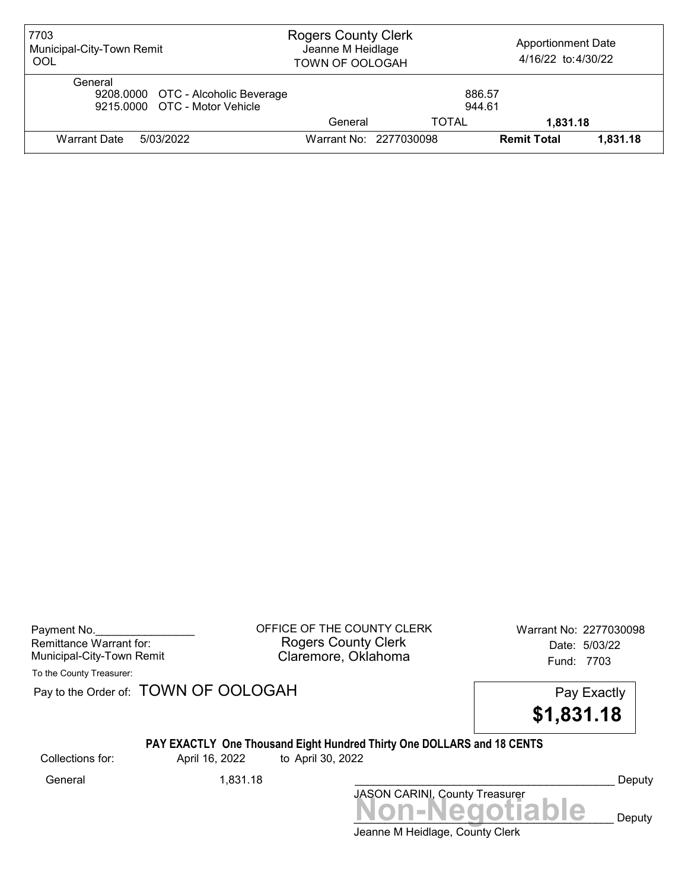| 7703<br>Municipal-City-Town Remit<br>OOL                                       | <b>Rogers County Clerk</b><br>Jeanne M Heidlage<br><b>TOWN OF OOLOGAH</b> |                        | <b>Apportionment Date</b><br>4/16/22 to:4/30/22 |          |
|--------------------------------------------------------------------------------|---------------------------------------------------------------------------|------------------------|-------------------------------------------------|----------|
| General<br>9208.0000 OTC - Alcoholic Beverage<br>9215,0000 OTC - Motor Vehicle | 886.57<br>944.61                                                          |                        |                                                 |          |
|                                                                                | General                                                                   | TOTAL                  | 1.831.18                                        |          |
| Warrant Date<br>5/03/2022                                                      |                                                                           | Warrant No: 2277030098 | <b>Remit Total</b>                              | 1.831.18 |

Payment No. 2277030098 COFFICE OF THE COUNTY CLERK Warrant No: 2277030098 Rogers County Clerk Date: 5/03/22 Municipal-City-Town Remit **Example 2018** Claremore, Oklahoma **Example 2018** Fund: 7703

To the County Treasurer:

Pay to the Order of: TOWN OF OOLOGAH Pay Exactly

\$1,831.18

# PAY EXACTLY One Thousand Eight Hundred Thirty One DOLLARS and 18 CENTS

Collections for: April 16, 2022 to April 30, 2022

Non-Negotiable Deputy JASON CARINI, County Treasurer General 1,831.18 \_\_\_\_\_\_\_\_\_\_\_\_\_\_\_\_\_\_\_\_\_\_\_\_\_\_\_\_\_\_\_\_\_\_\_\_\_\_\_\_\_\_ Deputy

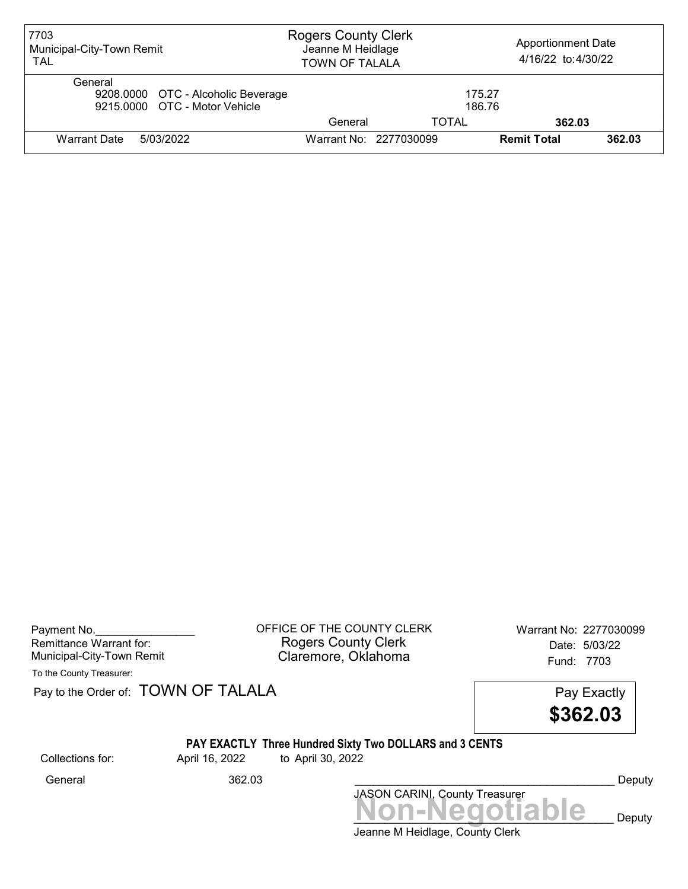| 7703<br>Municipal-City-Town Remit<br><b>TAL</b>                                | <b>Rogers County Clerk</b><br>Jeanne M Heidlage<br><b>TOWN OF TALALA</b> |                  | <b>Apportionment Date</b><br>4/16/22 to:4/30/22 |        |
|--------------------------------------------------------------------------------|--------------------------------------------------------------------------|------------------|-------------------------------------------------|--------|
| General<br>9208.0000 OTC - Alcoholic Beverage<br>9215.0000 OTC - Motor Vehicle |                                                                          | 175.27<br>186.76 |                                                 |        |
|                                                                                | General                                                                  | TOTAL            | 362.03                                          |        |
| Warrant Date<br>5/03/2022                                                      | Warrant No: 2277030099                                                   |                  | <b>Remit Total</b>                              | 362.03 |

Payment No. 2277030099 COFFICE OF THE COUNTY CLERK Warrant No: 2277030099 Rogers County Clerk Date: 5/03/22 Municipal-City-Town Remit Claremore, Oklahoma Fund: 7703

To the County Treasurer:

Pay to the Order of: **TOWN OF TALALA** Pay Exactly

\$362.03

## PAY EXACTLY Three Hundred Sixty Two DOLLARS and 3 CENTS

Collections for: April 16, 2022 to April 30, 2022

Non-Negotiable Deputy JASON CARINI, County Treasurer General 362.03 \_\_\_\_\_\_\_\_\_\_\_\_\_\_\_\_\_\_\_\_\_\_\_\_\_\_\_\_\_\_\_\_\_\_\_\_\_\_\_\_\_\_ Deputy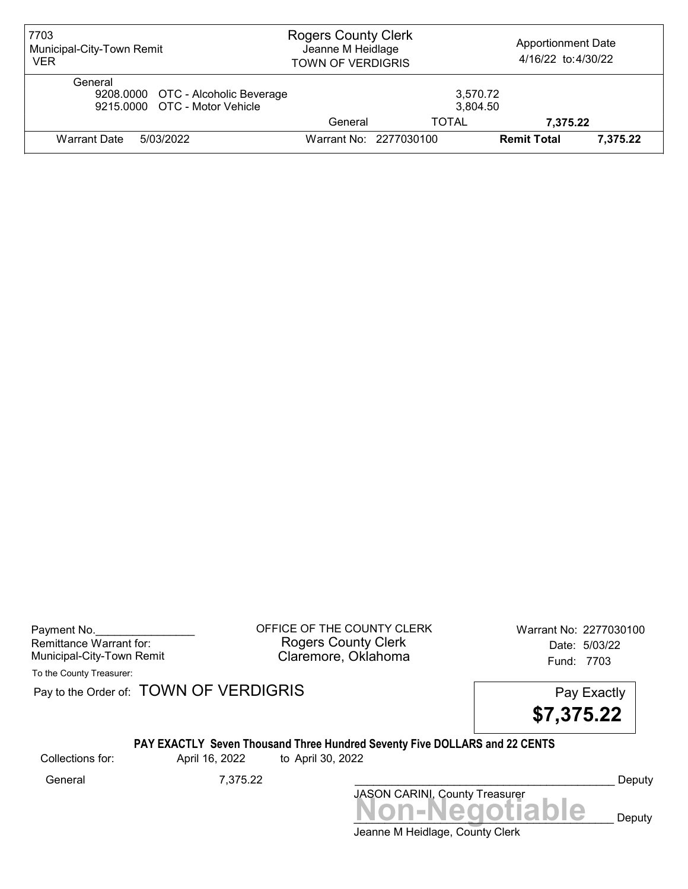| 7703<br>Municipal-City-Town Remit<br><b>VER</b>                                | <b>Rogers County Clerk</b><br>Jeanne M Heidlage<br><b>TOWN OF VERDIGRIS</b> |                        | <b>Apportionment Date</b><br>4/16/22 to:4/30/22 |          |
|--------------------------------------------------------------------------------|-----------------------------------------------------------------------------|------------------------|-------------------------------------------------|----------|
| General<br>9208.0000 OTC - Alcoholic Beverage<br>9215,0000 OTC - Motor Vehicle |                                                                             | 3,570.72<br>3,804.50   |                                                 |          |
|                                                                                | General                                                                     | TOTAL                  | 7,375.22                                        |          |
| Warrant Date<br>5/03/2022                                                      |                                                                             | Warrant No: 2277030100 | <b>Remit Total</b>                              | 7,375.22 |

Payment No. 2277030100 CHEICE OF THE COUNTY CLERK Warrant No: 2277030100 Rogers County Clerk Date: 5/03/22 Municipal-City-Town Remit **Example 2018** Claremore, Oklahoma **Example 2018** Fund: 7703

To the County Treasurer:

Pay to the Order of: TOWN OF VERDIGRIS Pay to the Order of: TOWN OF VERDIGRIS

\$7,375.22

#### PAY EXACTLY Seven Thousand Three Hundred Seventy Five DOLLARS and 22 CENTS

Collections for: April 16, 2022 to April 30, 2022

Jeanne M Heidlage, County Clerk Non-Negotiable Deputy JASON CARINI, County Treasurer General 7,375.22 \_\_\_\_\_\_\_\_\_\_\_\_\_\_\_\_\_\_\_\_\_\_\_\_\_\_\_\_\_\_\_\_\_\_\_\_\_\_\_\_\_\_ Deputy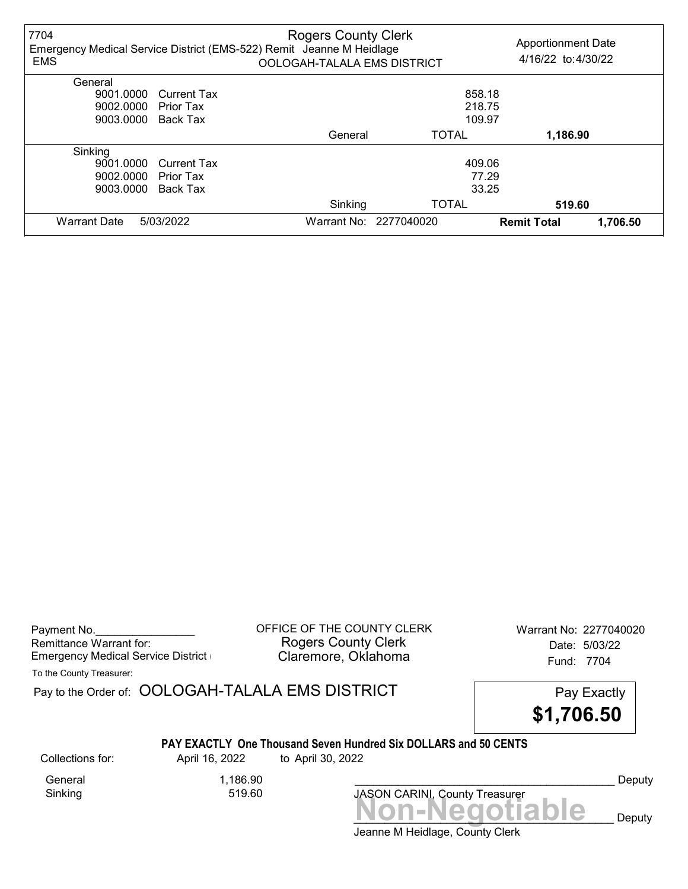| 7704<br><b>EMS</b>  |                    | <b>Rogers County Clerk</b><br>Emergency Medical Service District (EMS-522) Remit Jeanne M Heidlage<br>OOLOGAH-TALALA EMS DISTRICT |                        | <b>Apportionment Date</b><br>4/16/22 to:4/30/22 |
|---------------------|--------------------|-----------------------------------------------------------------------------------------------------------------------------------|------------------------|-------------------------------------------------|
| General             |                    |                                                                                                                                   |                        |                                                 |
| 9001.0000           | <b>Current Tax</b> |                                                                                                                                   | 858.18                 |                                                 |
| 9002.0000           | Prior Tax          |                                                                                                                                   | 218.75                 |                                                 |
| 9003.0000           | Back Tax           |                                                                                                                                   | 109.97                 |                                                 |
|                     |                    | General                                                                                                                           | <b>TOTAL</b>           | 1,186.90                                        |
| Sinking             |                    |                                                                                                                                   |                        |                                                 |
| 9001.0000           | <b>Current Tax</b> |                                                                                                                                   | 409.06                 |                                                 |
| 9002.0000           | Prior Tax          |                                                                                                                                   | 77.29                  |                                                 |
| 9003.0000           | Back Tax           |                                                                                                                                   | 33.25                  |                                                 |
|                     |                    | Sinking                                                                                                                           | <b>TOTAL</b>           | 519.60                                          |
| <b>Warrant Date</b> | 5/03/2022          |                                                                                                                                   | Warrant No: 2277040020 | <b>Remit Total</b><br>1,706.50                  |

| Payment No.                        |
|------------------------------------|
| Remittance Warrant for:            |
| Emergency Medical Service District |

OFFICE OF THE COUNTY CLERK Warrant No: 2277040020 Rogers County Clerk Date: 5/03/22 Claremore, Oklahoma **Emergency Claremore, Oklahoma** 

To the County Treasurer:

Pay to the Order of: OOLOGAH-TALALA EMS DISTRICT Pay Exactly



#### PAY EXACTLY One Thousand Seven Hundred Six DOLLARS and 50 CENTS

General 1,186.90<br>Sinking 519.60 Sinking

Collections for: April 16, 2022 to April 30, 2022

JASON CARINI, County Treasurer<br>
MON-Negotiable Deputy

Deputy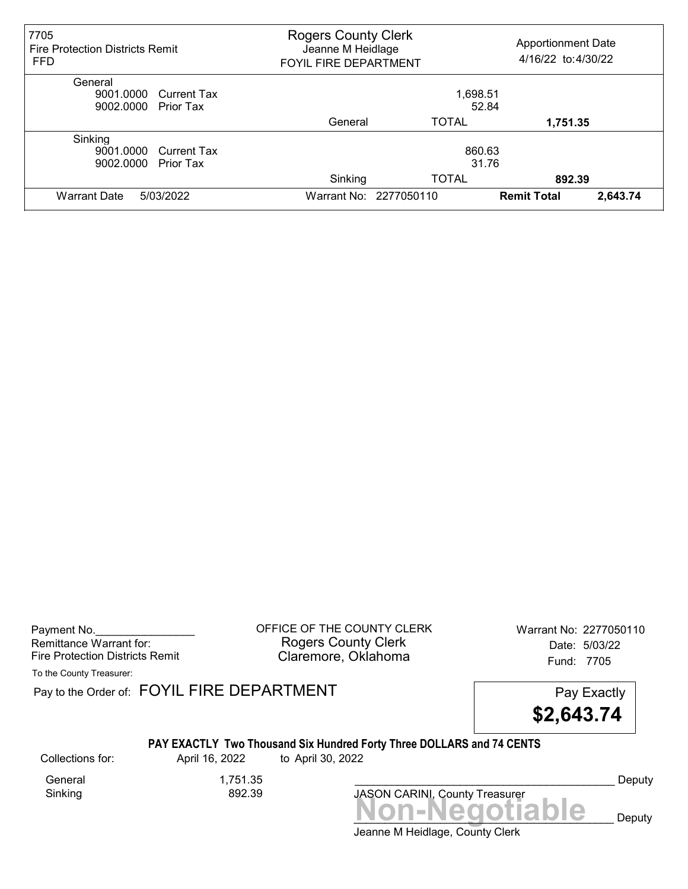| 7705<br><b>Fire Protection Districts Remit</b><br><b>FFD</b> | <b>Rogers County Clerk</b><br><b>Apportionment Date</b><br>Jeanne M Heidlage<br>4/16/22 to:4/30/22<br>FOYIL FIRE DEPARTMENT |                        |                    |          |
|--------------------------------------------------------------|-----------------------------------------------------------------------------------------------------------------------------|------------------------|--------------------|----------|
| General                                                      |                                                                                                                             |                        |                    |          |
| 9001.0000 Current Tax                                        |                                                                                                                             | 1,698.51               |                    |          |
| 9002.0000<br><b>Prior Tax</b>                                |                                                                                                                             | 52.84                  |                    |          |
|                                                              | General                                                                                                                     | <b>TOTAL</b>           | 1,751.35           |          |
| Sinking                                                      |                                                                                                                             |                        |                    |          |
| 9001.0000 Current Tax                                        |                                                                                                                             | 860.63                 |                    |          |
| 9002.0000<br><b>Prior Tax</b>                                | 31.76                                                                                                                       |                        |                    |          |
|                                                              | Sinking                                                                                                                     | <b>TOTAL</b>           | 892.39             |          |
| <b>Warrant Date</b><br>5/03/2022                             |                                                                                                                             | Warrant No: 2277050110 | <b>Remit Total</b> | 2,643.74 |

Payment No. 2277050110 CONTICE OF THE COUNTY CLERK Warrant No: 2277050110 Rogers County Clerk Date: 5/03/22 Fire Protection Districts Remit **Claremore, Oklahoma** Fund: 7705

To the County Treasurer:

Pay to the Order of: FOYIL FIRE DEPARTMENT FREE PAY EXACTLY



### PAY EXACTLY Two Thousand Six Hundred Forty Three DOLLARS and 74 CENTS

Collections for: April 16, 2022 to April 30, 2022

General 1,751.35<br>Sinking 892.39 Sinking

Deputy

Jeanne M Heidlage, County Clerk Non-Negotiable Deputy

JASON CARINI, County Treasurer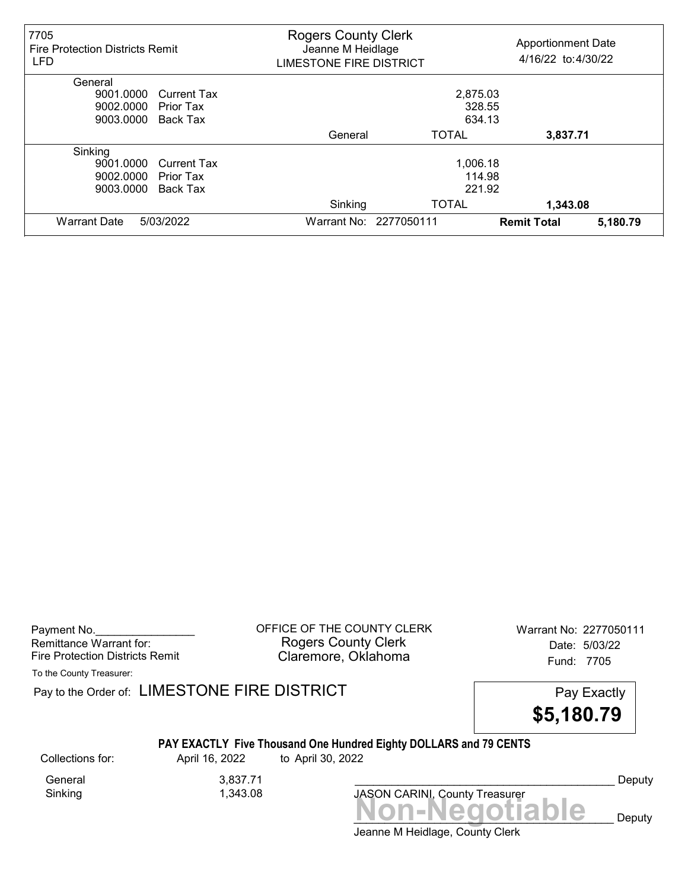| 7705<br><b>Fire Protection Districts Remit</b><br><b>LFD</b> | <b>Rogers County Clerk</b><br>Jeanne M Heidlage<br><b>LIMESTONE FIRE DISTRICT</b> |                        | <b>Apportionment Date</b><br>4/16/22 to:4/30/22 |          |
|--------------------------------------------------------------|-----------------------------------------------------------------------------------|------------------------|-------------------------------------------------|----------|
| General                                                      |                                                                                   |                        |                                                 |          |
| 9001.0000<br><b>Current Tax</b>                              |                                                                                   | 2,875.03               |                                                 |          |
| 9002.0000<br>Prior Tax                                       |                                                                                   | 328.55                 |                                                 |          |
| 9003.0000<br>Back Tax                                        |                                                                                   | 634.13                 |                                                 |          |
|                                                              | General                                                                           | <b>TOTAL</b>           | 3,837.71                                        |          |
| Sinking                                                      |                                                                                   |                        |                                                 |          |
| 9001.0000<br><b>Current Tax</b>                              |                                                                                   | 1,006.18               |                                                 |          |
| 9002.0000<br>Prior Tax                                       |                                                                                   | 114.98                 |                                                 |          |
| 9003.0000<br>Back Tax                                        |                                                                                   | 221.92                 |                                                 |          |
|                                                              | Sinking                                                                           | <b>TOTAL</b>           | 1,343.08                                        |          |
| <b>Warrant Date</b><br>5/03/2022                             |                                                                                   | Warrant No: 2277050111 | <b>Remit Total</b>                              | 5,180.79 |

Payment No. 2277050111 COUNTY CLERK Warrant No: 2277050111 Rogers County Clerk Date: 5/03/22 Fire Protection Districts Remit **Claremore, Oklahoma** Fund: 7705

To the County Treasurer:

Pay to the Order of: LIMESTONE FIRE DISTRICT Pay Exactly Pay Exactly



### PAY EXACTLY Five Thousand One Hundred Eighty DOLLARS and 79 CENTS

General 3,837.71<br>Sinking 1,343.08

1,343.08

Collections for: April 16, 2022 to April 30, 2022

Deputy

Jeanne M Heidlage, County Clerk Non-Negotiable Deputy

JASON CARINI, County Treasurer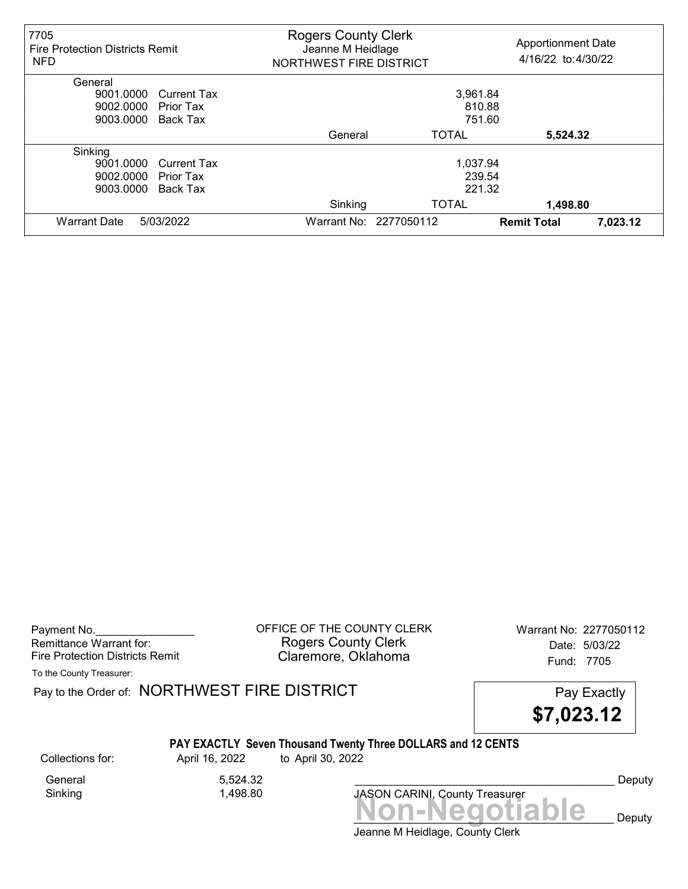| 7705<br><b>Fire Protection Districts Remit</b><br><b>NFD</b> | <b>Rogers County Clerk</b><br>Jeanne M Heidlage<br>NORTHWEST FIRE DISTRICT |                        | <b>Apportionment Date</b><br>4/16/22 to:4/30/22 |          |
|--------------------------------------------------------------|----------------------------------------------------------------------------|------------------------|-------------------------------------------------|----------|
| General                                                      |                                                                            |                        |                                                 |          |
| 9001.0000<br><b>Current Tax</b>                              |                                                                            | 3,961.84               |                                                 |          |
| 9002.0000<br>Prior Tax                                       |                                                                            | 810.88                 |                                                 |          |
| 9003.0000<br>Back Tax                                        |                                                                            | 751.60                 |                                                 |          |
|                                                              | General                                                                    | <b>TOTAL</b>           | 5,524.32                                        |          |
| Sinking                                                      |                                                                            |                        |                                                 |          |
| 9001.0000<br><b>Current Tax</b>                              |                                                                            | 1,037.94               |                                                 |          |
| 9002.0000<br>Prior Tax                                       |                                                                            | 239.54                 |                                                 |          |
| 9003.0000<br>Back Tax                                        |                                                                            | 221.32                 |                                                 |          |
|                                                              | Sinking                                                                    | <b>TOTAL</b>           | 1,498.80                                        |          |
| <b>Warrant Date</b><br>5/03/2022                             |                                                                            | Warrant No: 2277050112 | <b>Remit Total</b>                              | 7,023.12 |

Payment No. 2277050112 Rogers County Clerk Date: 5/03/22 Fire Protection Districts Remit **Claremore, Oklahoma** Fund: 7705

To the County Treasurer:

Pay to the Order of: NORTHWEST FIRE DISTRICT FIRE Pay Exactly

\$7,023.12

# PAY EXACTLY Seven Thousand Twenty Three DOLLARS and 12 CENTS

General 5,524.32<br>Sinking 1,498.80

1,498.80

Collections for: April 16, 2022 to April 30, 2022

Non-Negotiable Deputy JASON CARINI, County Treasurer

Deputy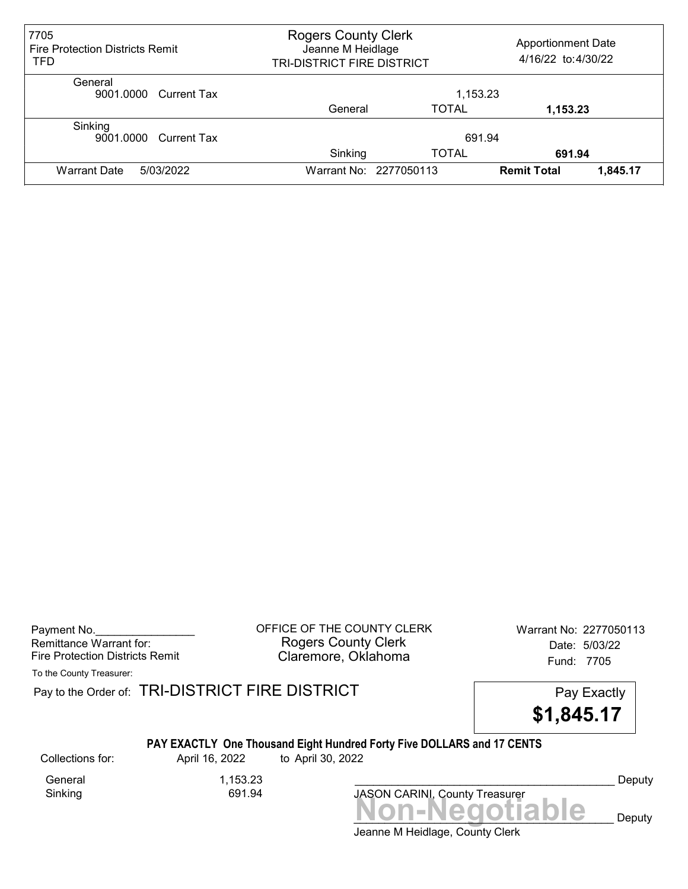| 7705<br><b>Fire Protection Districts Remit</b><br>TFD | <b>Rogers County Clerk</b><br><b>Apportionment Date</b><br>Jeanne M Heidlage<br>4/16/22 to:4/30/22<br>TRI-DISTRICT FIRE DISTRICT |                        |                    |          |
|-------------------------------------------------------|----------------------------------------------------------------------------------------------------------------------------------|------------------------|--------------------|----------|
| General<br>9001.0000 Current Tax                      |                                                                                                                                  | 1,153.23               |                    |          |
|                                                       | General                                                                                                                          | TOTAL                  | 1,153.23           |          |
| Sinking<br>9001.0000 Current Tax                      | 691.94<br>Sinking<br>TOTAL<br>691.94                                                                                             |                        |                    |          |
| <b>Warrant Date</b><br>5/03/2022                      |                                                                                                                                  | Warrant No: 2277050113 | <b>Remit Total</b> | 1,845.17 |

Payment No. 2277050113 COFFICE OF THE COUNTY CLERK Warrant No: 2277050113 Rogers County Clerk Date: 5/03/22 Fire Protection Districts Remit **Claremore, Oklahoma** Fund: 7705

To the County Treasurer:

Pay to the Order of: TRI-DISTRICT FIRE DISTRICT **Pay Exactly** Pay Exactly

\$1,845.17

### PAY EXACTLY One Thousand Eight Hundred Forty Five DOLLARS and 17 CENTS

Collections for: April 16, 2022 to April 30, 2022

General 1,153.23<br>Sinking 691.94 Sinking

Jeanne M Heidlage, County Clerk Non-Negotiable Deputy JASON CARINI, County Treasurer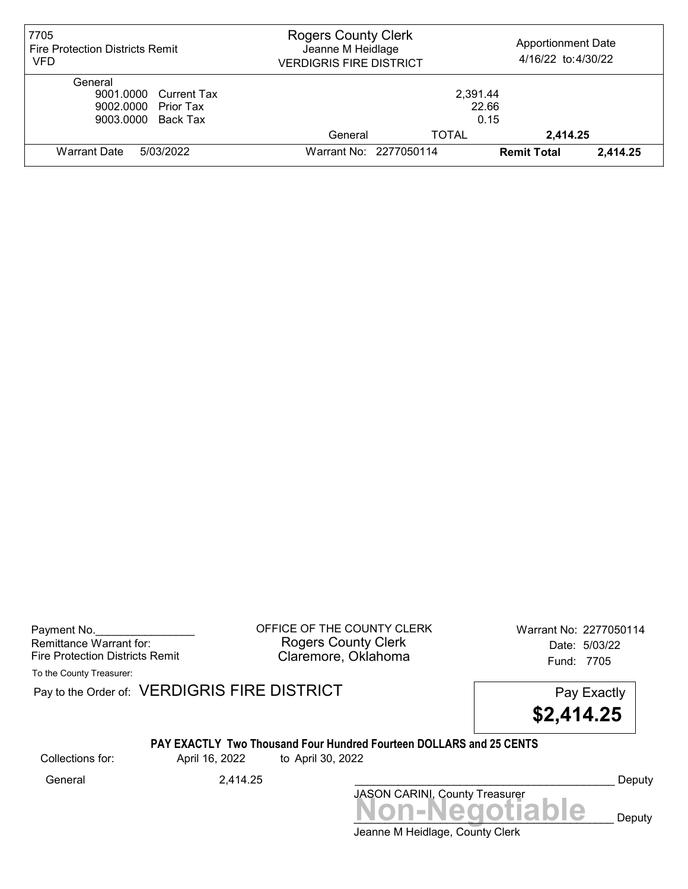| 7705<br><b>Fire Protection Districts Remit</b><br><b>VFD</b>                  | <b>Rogers County Clerk</b><br><b>Apportionment Date</b><br>Jeanne M Heidlage<br>4/16/22 to:4/30/22<br><b>VERDIGRIS FIRE DISTRICT</b> |              |                    |          |
|-------------------------------------------------------------------------------|--------------------------------------------------------------------------------------------------------------------------------------|--------------|--------------------|----------|
| General<br>9001.0000 Current Tax<br>9002.0000 Prior Tax<br>9003.0000 Back Tax | 2,391.44<br>22.66<br>0.15                                                                                                            |              |                    |          |
|                                                                               | General                                                                                                                              | <b>TOTAL</b> | 2,414.25           |          |
| 5/03/2022<br><b>Warrant Date</b>                                              | Warrant No: 2277050114                                                                                                               |              | <b>Remit Total</b> | 2,414.25 |

Payment No. 2277050114 COUNTY CLERK Warrant No: 2277050114 Rogers County Clerk Date: 5/03/22 Fire Protection Districts Remit **Claremore, Oklahoma** Fund: 7705

To the County Treasurer:

Pay to the Order of: VERDIGRIS FIRE DISTRICT Pay to the Order of: VERDIGRIS FIRE DISTRICT

\$2,414.25

#### PAY EXACTLY Two Thousand Four Hundred Fourteen DOLLARS and 25 CENTS

Collections for: April 16, 2022 to April 30, 2022

Jeanne M Heidlage, County Clerk Non-Negotiable Deputy JASON CARINI, County Treasurer General 2,414.25 \_\_\_\_\_\_\_\_\_\_\_\_\_\_\_\_\_\_\_\_\_\_\_\_\_\_\_\_\_\_\_\_\_\_\_\_\_\_\_\_\_\_ Deputy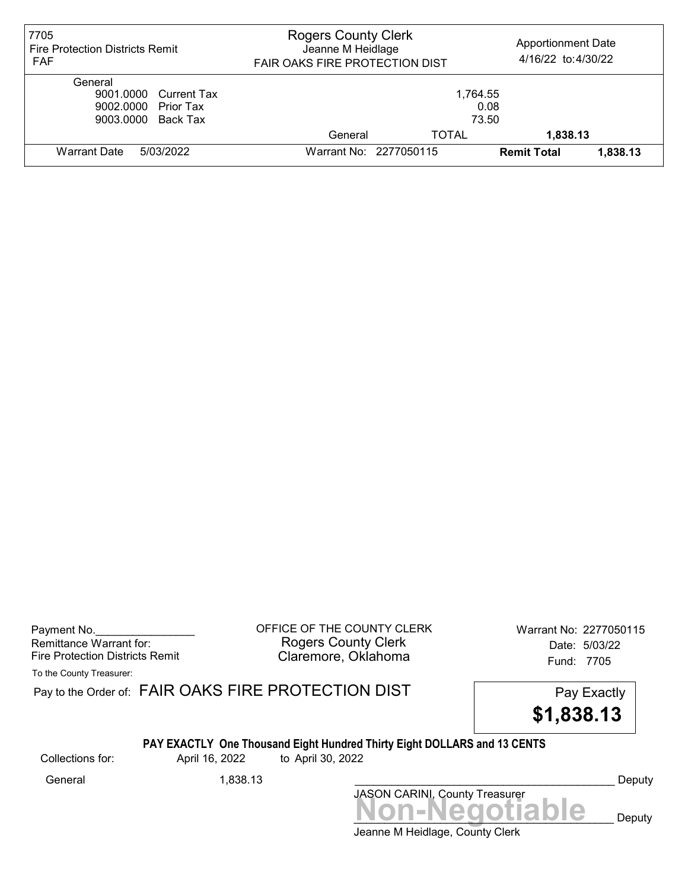| 7705<br>Fire Protection Districts Remit<br><b>FAF</b>                         | <b>Rogers County Clerk</b><br><b>Apportionment Date</b><br>Jeanne M Heidlage<br>4/16/22 to:4/30/22<br>FAIR OAKS FIRE PROTECTION DIST |              |                    |          |
|-------------------------------------------------------------------------------|--------------------------------------------------------------------------------------------------------------------------------------|--------------|--------------------|----------|
| General<br>9001.0000 Current Tax<br>9002.0000 Prior Tax<br>9003.0000 Back Tax | 1.764.55<br>0.08<br>73.50                                                                                                            |              |                    |          |
|                                                                               | General                                                                                                                              | <b>TOTAL</b> | 1,838.13           |          |
| Warrant Date<br>5/03/2022                                                     | Warrant No: 2277050115                                                                                                               |              | <b>Remit Total</b> | 1.838.13 |

Payment No. 2277050115 Rogers County Clerk Date: 5/03/22 Fire Protection Districts Remit **Claremore, Oklahoma** Fund: 7705

To the County Treasurer:

Pay to the Order of: FAIR OAKS FIRE PROTECTION DIST Pay Exactly

\$1,838.13

## PAY EXACTLY One Thousand Eight Hundred Thirty Eight DOLLARS and 13 CENTS

Collections for: April 16, 2022 to April 30, 2022

Non-Negotiable Deputy JASON CARINI, County Treasurer General 1,838.13 \_\_\_\_\_\_\_\_\_\_\_\_\_\_\_\_\_\_\_\_\_\_\_\_\_\_\_\_\_\_\_\_\_\_\_\_\_\_\_\_\_\_ Deputy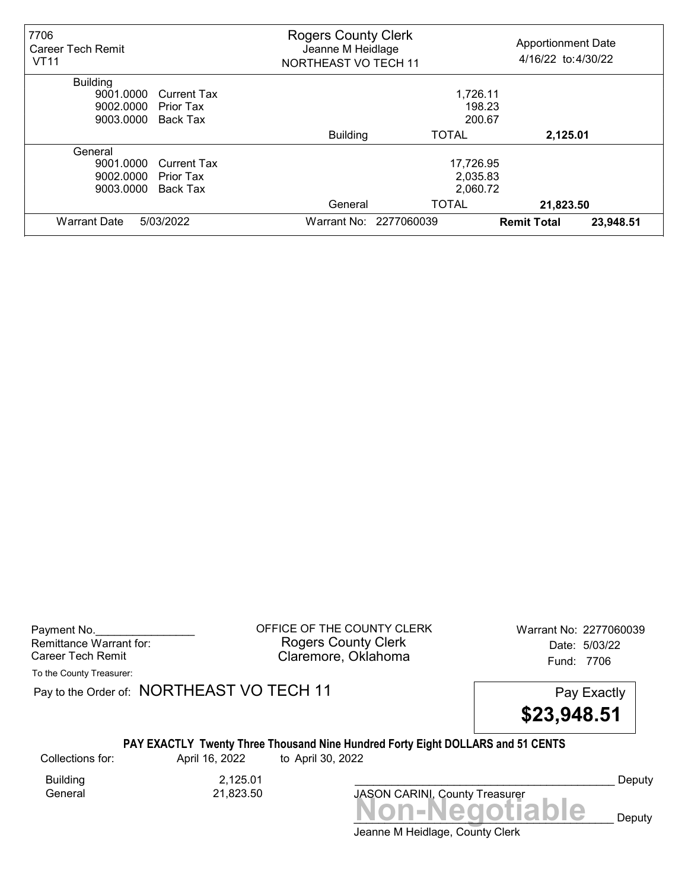| 7706<br><b>Career Tech Remit</b><br><b>VT11</b> |                    | <b>Rogers County Clerk</b><br><b>Apportionment Date</b><br>Jeanne M Heidlage<br>4/16/22 to: 4/30/22<br><b>NORTHEAST VO TECH 11</b> |                        |                    |           |
|-------------------------------------------------|--------------------|------------------------------------------------------------------------------------------------------------------------------------|------------------------|--------------------|-----------|
| <b>Building</b>                                 |                    |                                                                                                                                    |                        |                    |           |
| 9001.0000                                       | <b>Current Tax</b> | 1,726.11                                                                                                                           |                        |                    |           |
| 9002.0000                                       | Prior Tax          | 198.23                                                                                                                             |                        |                    |           |
| 9003.0000                                       | Back Tax           | 200.67                                                                                                                             |                        |                    |           |
|                                                 |                    | <b>Building</b>                                                                                                                    | <b>TOTAL</b>           | 2,125.01           |           |
| General                                         |                    |                                                                                                                                    |                        |                    |           |
| 9001.0000                                       | <b>Current Tax</b> | 17,726.95                                                                                                                          |                        |                    |           |
| 9002.0000                                       | Prior Tax          | 2,035.83                                                                                                                           |                        |                    |           |
| 9003.0000                                       | Back Tax           | 2,060.72                                                                                                                           |                        |                    |           |
|                                                 |                    | General                                                                                                                            | <b>TOTAL</b>           | 21,823.50          |           |
| <b>Warrant Date</b>                             | 5/03/2022          |                                                                                                                                    | Warrant No: 2277060039 | <b>Remit Total</b> | 23,948.51 |

Payment No. 2277060039 COFFICE OF THE COUNTY CLERK Warrant No: 2277060039 Rogers County Clerk Date: 5/03/22 Career Tech Remit **Claremore, Oklahoma Claremore**, Oklahoma

To the County Treasurer:

Pay to the Order of: NORTHEAST VO TECH 11 Pay Exactly



## PAY EXACTLY Twenty Three Thousand Nine Hundred Forty Eight DOLLARS and 51 CENTS

Collections for: April 16, 2022 to April 30, 2022

Building 2,125.01<br>General 21,823.50

General 21,823.50

Jeanne M Heidlage, County Clerk Non-Negotiable Deputy JASON CARINI, County Treasurer